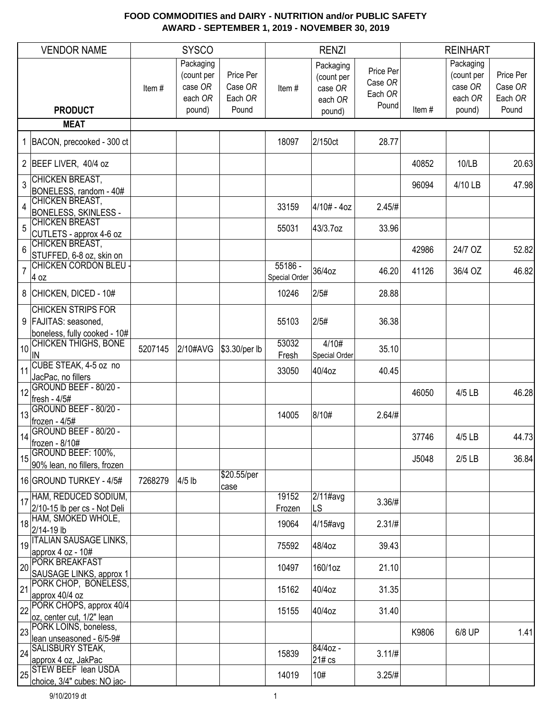|                 | <b>VENDOR NAME</b>                                                |         | <b>SYSCO</b>                                  |                                 |                          | <b>RENZI</b>                                  |                                          |       | <b>REINHART</b>                               |                                 |
|-----------------|-------------------------------------------------------------------|---------|-----------------------------------------------|---------------------------------|--------------------------|-----------------------------------------------|------------------------------------------|-------|-----------------------------------------------|---------------------------------|
|                 |                                                                   | Item#   | Packaging<br>(count per<br>case OR<br>each OR | Price Per<br>Case OR<br>Each OR | Item#                    | Packaging<br>(count per<br>case OR<br>each OR | Price Per<br>Case OR<br>Each OR<br>Pound |       | Packaging<br>(count per<br>case OR<br>each OR | Price Per<br>Case OR<br>Each OR |
|                 | <b>PRODUCT</b><br><b>MEAT</b>                                     |         | pound)                                        | Pound                           |                          | pound)                                        |                                          | Item# | pound)                                        | Pound                           |
|                 |                                                                   |         |                                               |                                 |                          |                                               |                                          |       |                                               |                                 |
|                 | BACON, precooked - 300 ct                                         |         |                                               |                                 | 18097                    | 2/150ct                                       | 28.77                                    |       |                                               |                                 |
|                 | 2 BEEF LIVER, 40/4 oz                                             |         |                                               |                                 |                          |                                               |                                          | 40852 | 10/LB                                         | 20.63                           |
| 3               | <b>CHICKEN BREAST,</b><br>BONELESS, random - 40#                  |         |                                               |                                 |                          |                                               |                                          | 96094 | 4/10 LB                                       | 47.98                           |
| $\overline{4}$  | CHICKEN BREAST,<br><b>BONELESS, SKINLESS -</b>                    |         |                                               |                                 | 33159                    | 4/10# - 4oz                                   | 2.45/H                                   |       |                                               |                                 |
| 5               | <b>CHICKEN BREAST</b><br>CUTLETS - approx 4-6 oz                  |         |                                               |                                 | 55031                    | 43/3.7oz                                      | 33.96                                    |       |                                               |                                 |
| $6\phantom{1}6$ | CHICKEN BREAST,<br>STUFFED, 6-8 oz, skin on                       |         |                                               |                                 |                          |                                               |                                          | 42986 | 24/7 OZ                                       | 52.82                           |
| $\overline{7}$  | CHICKEN CORDON BLEU<br>$4$ oz                                     |         |                                               |                                 | 55186 -<br>Special Order | 36/4oz                                        | 46.20                                    | 41126 | 36/4 OZ                                       | 46.82                           |
|                 | 8 CHICKEN, DICED - 10#                                            |         |                                               |                                 | 10246                    | 2/5#                                          | 28.88                                    |       |                                               |                                 |
|                 | <b>CHICKEN STRIPS FOR</b><br>9   FAJITAS: seasoned,               |         |                                               |                                 | 55103                    | 2/5#                                          | 36.38                                    |       |                                               |                                 |
| 10              | boneless, fully cooked - 10#<br><b>CHICKEN THIGHS, BONE</b><br>IN | 5207145 | 2/10#AVG                                      | \$3.30/per lb                   | 53032<br>Fresh           | 4/10#<br>Special Order                        | 35.10                                    |       |                                               |                                 |
| 11              | CUBE STEAK, 4-5 oz no<br>JacPac, no fillers                       |         |                                               |                                 | 33050                    | 40/4oz                                        | 40.45                                    |       |                                               |                                 |
| 12              | GROUND BEEF - 80/20 -<br>fresh - 4/5#                             |         |                                               |                                 |                          |                                               |                                          | 46050 | 4/5 LB                                        | 46.28                           |
| 13              | GROUND BEEF - 80/20 -<br>frozen - 4/5#                            |         |                                               |                                 | 14005                    | 8/10#                                         | 2.64/H                                   |       |                                               |                                 |
| 14              | GROUND BEEF - 80/20 -<br>frozen - 8/10#                           |         |                                               |                                 |                          |                                               |                                          | 37746 | 4/5 LB                                        | 44.73                           |
| 15              | GROUND BEEF: 100%,<br>90% lean, no fillers, frozen                |         |                                               |                                 |                          |                                               |                                          | J5048 | $2/5$ LB                                      | 36.84                           |
|                 | 16 GROUND TURKEY - 4/5#                                           | 7268279 | $4/5$ lb                                      | \$20.55/per<br>case             |                          |                                               |                                          |       |                                               |                                 |
| 17              | HAM, REDUCED SODIUM,<br>2/10-15 lb per cs - Not Deli              |         |                                               |                                 | 19152<br>Frozen          | $2/11$ #avg<br>LS                             | 3.36/#                                   |       |                                               |                                 |
| 18              | HAM, SMOKED WHOLE,<br>2/14-19 lb                                  |         |                                               |                                 | 19064                    | 4/15#avg                                      | $2.31/\#$                                |       |                                               |                                 |
| 19              | <b>ITALIAN SAUSAGE LINKS,</b><br>approx 4 oz - 10#                |         |                                               |                                 | 75592                    | 48/4oz                                        | 39.43                                    |       |                                               |                                 |
| 20              | <b>PORK BREAKFAST</b><br>SAUSAGE LINKS, approx 1                  |         |                                               |                                 | 10497                    | 160/1oz                                       | 21.10                                    |       |                                               |                                 |
| 21              | PORK CHOP, BONELESS,<br>approx 40/4 oz                            |         |                                               |                                 | 15162                    | 40/4oz                                        | 31.35                                    |       |                                               |                                 |
| 22              | PORK CHOPS, approx 40/4<br>oz, center cut, 1/2" lean              |         |                                               |                                 | 15155                    | 40/4oz                                        | 31.40                                    |       |                                               |                                 |
| 23              | PORK LOINS, boneless,<br>lean unseasoned - 6/5-9#                 |         |                                               |                                 |                          |                                               |                                          | K9806 | 6/8 UP                                        | 1.41                            |
| 24              | <b>SALISBURY STEAK,</b><br>approx 4 oz, JakPac                    |         |                                               |                                 | 15839                    | 84/4oz -<br>21# cs                            | 3.11/H                                   |       |                                               |                                 |
| 25              | <b>STEW BEEF lean USDA</b><br>choice, 3/4" cubes: NO jac-         |         |                                               |                                 | 14019                    | 10#                                           | 3.25/H                                   |       |                                               |                                 |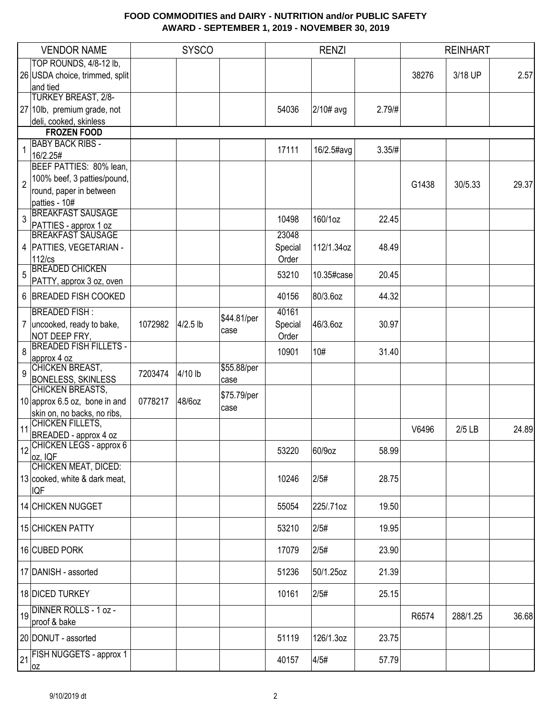|                | <b>VENDOR NAME</b>                     |         | <b>SYSCO</b> |             |         | <b>RENZI</b> |        |       | <b>REINHART</b> |       |
|----------------|----------------------------------------|---------|--------------|-------------|---------|--------------|--------|-------|-----------------|-------|
|                | TOP ROUNDS, 4/8-12 lb,                 |         |              |             |         |              |        |       |                 |       |
|                | 26 USDA choice, trimmed, split         |         |              |             |         |              |        | 38276 | 3/18 UP         | 2.57  |
|                | and tied                               |         |              |             |         |              |        |       |                 |       |
|                | <b>TURKEY BREAST, 2/8-</b>             |         |              |             |         |              |        |       |                 |       |
|                | 27 10lb, premium grade, not            |         |              |             | 54036   | 2/10# avg    | 2.79/# |       |                 |       |
|                | deli, cooked, skinless                 |         |              |             |         |              |        |       |                 |       |
|                | <b>FROZEN FOOD</b>                     |         |              |             |         |              |        |       |                 |       |
| 1              | <b>BABY BACK RIBS -</b>                |         |              |             | 17111   | 16/2.5#avg   | 3.35/H |       |                 |       |
|                | 16/2.25#                               |         |              |             |         |              |        |       |                 |       |
|                | BEEF PATTIES: 80% lean,                |         |              |             |         |              |        |       |                 |       |
| $\overline{2}$ | 100% beef, 3 patties/pound,            |         |              |             |         |              |        | G1438 | 30/5.33         | 29.37 |
|                | round, paper in between                |         |              |             |         |              |        |       |                 |       |
|                | patties - 10#                          |         |              |             |         |              |        |       |                 |       |
| 3              | <b>BREAKFAST SAUSAGE</b>               |         |              |             | 10498   | 160/1oz      | 22.45  |       |                 |       |
|                | PATTIES - approx 1 oz                  |         |              |             |         |              |        |       |                 |       |
|                | <b>BREAKFAST SAUSAGE</b>               |         |              |             | 23048   |              |        |       |                 |       |
|                | 4   PATTIES, VEGETARIAN -              |         |              |             | Special | 112/1.34oz   | 48.49  |       |                 |       |
|                | $112$ / $cs$                           |         |              |             | Order   |              |        |       |                 |       |
| 5              | <b>BREADED CHICKEN</b>                 |         |              |             | 53210   | 10.35#case   | 20.45  |       |                 |       |
|                | PATTY, approx 3 oz, oven               |         |              |             |         |              |        |       |                 |       |
|                | 6 BREADED FISH COOKED                  |         |              |             | 40156   | 80/3.6oz     | 44.32  |       |                 |       |
|                | <b>BREADED FISH:</b>                   |         |              | \$44.81/per | 40161   |              |        |       |                 |       |
|                | 7   uncooked, ready to bake,           | 1072982 | $4/2.5$ lb   |             | Special | 46/3.6oz     | 30.97  |       |                 |       |
|                | NOT DEEP FRY,                          |         |              | case        | Order   |              |        |       |                 |       |
| 8              | <b>BREADED FISH FILLETS -</b>          |         |              |             | 10901   | 10#          | 31.40  |       |                 |       |
|                | approx 4 oz                            |         |              |             |         |              |        |       |                 |       |
| 9              | CHICKEN BREAST,                        | 7203474 | 4/10 lb      | \$55.88/per |         |              |        |       |                 |       |
|                | <b>BONELESS, SKINLESS</b>              |         |              | case        |         |              |        |       |                 |       |
|                | CHICKEN BREASTS,                       |         |              | \$75.79/per |         |              |        |       |                 |       |
|                | 10 approx 6.5 oz, bone in and          | 0778217 | 48/6oz       | case        |         |              |        |       |                 |       |
|                | skin on, no backs, no ribs,            |         |              |             |         |              |        |       |                 |       |
| 11             | CHICKEN FILLETS,                       |         |              |             |         |              |        | V6496 | $2/5$ LB        | 24.89 |
|                | BREADED - approx 4 oz                  |         |              |             |         |              |        |       |                 |       |
|                | 12 CHICKEN LEGS - approx 6             |         |              |             | 53220   | 60/9oz       | 58.99  |       |                 |       |
|                | oz, IQF<br><b>CHICKEN MEAT, DICED:</b> |         |              |             |         |              |        |       |                 |       |
|                | 13 cooked, white & dark meat,          |         |              |             | 10246   | 2/5#         | 28.75  |       |                 |       |
|                |                                        |         |              |             |         |              |        |       |                 |       |
|                | <b>IQF</b>                             |         |              |             |         |              |        |       |                 |       |
|                | 14 CHICKEN NUGGET                      |         |              |             | 55054   | 225/.71oz    | 19.50  |       |                 |       |
|                | 15 CHICKEN PATTY                       |         |              |             | 53210   | 2/5#         | 19.95  |       |                 |       |
|                |                                        |         |              |             |         |              |        |       |                 |       |
|                | 16 CUBED PORK                          |         |              |             | 17079   | 2/5#         | 23.90  |       |                 |       |
|                | 17 DANISH - assorted                   |         |              |             | 51236   | 50/1.25oz    | 21.39  |       |                 |       |
|                | 18 DICED TURKEY                        |         |              |             | 10161   | 2/5#         | 25.15  |       |                 |       |
|                | 19 DINNER ROLLS - 1 oz -               |         |              |             |         |              |        |       |                 |       |
|                | proof & bake                           |         |              |             |         |              |        | R6574 | 288/1.25        | 36.68 |
|                | 20 DONUT - assorted                    |         |              |             | 51119   | 126/1.3oz    | 23.75  |       |                 |       |
|                | <b>FISH NUGGETS - approx 1</b>         |         |              |             |         |              |        |       |                 |       |
| 21             | 0Z                                     |         |              |             | 40157   | 4/5#         | 57.79  |       |                 |       |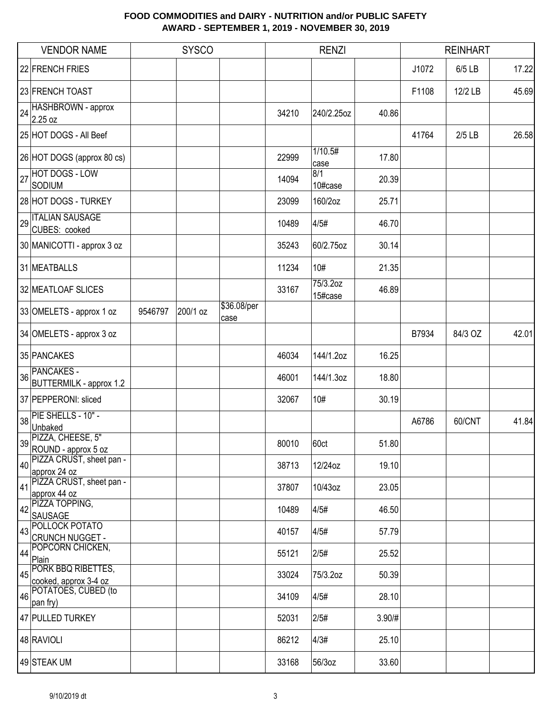|    | <b>VENDOR NAME</b>                                  |         | <b>SYSCO</b> |                     |       | <b>RENZI</b>        |        |       | <b>REINHART</b> |       |
|----|-----------------------------------------------------|---------|--------------|---------------------|-------|---------------------|--------|-------|-----------------|-------|
|    | 22 FRENCH FRIES                                     |         |              |                     |       |                     |        | J1072 | 6/5 LB          | 17.22 |
|    | 23 FRENCH TOAST                                     |         |              |                     |       |                     |        | F1108 | 12/2 LB         | 45.69 |
| 24 | HASHBROWN - approx<br>2.25 oz                       |         |              |                     | 34210 | 240/2.25oz          | 40.86  |       |                 |       |
|    | 25 HOT DOGS - All Beef                              |         |              |                     |       |                     |        | 41764 | $2/5$ LB        | 26.58 |
|    | 26 HOT DOGS (approx 80 cs)                          |         |              |                     | 22999 | 1/10.5#<br>case     | 17.80  |       |                 |       |
| 27 | <b>HOT DOGS - LOW</b><br>SODIUM                     |         |              |                     | 14094 | 8/1<br>10#case      | 20.39  |       |                 |       |
|    | 28 HOT DOGS - TURKEY                                |         |              |                     | 23099 | 160/2oz             | 25.71  |       |                 |       |
| 29 | <b>ITALIAN SAUSAGE</b><br>CUBES: cooked             |         |              |                     | 10489 | 4/5#                | 46.70  |       |                 |       |
|    | 30 MANICOTTI - approx 3 oz                          |         |              |                     | 35243 | 60/2.75oz           | 30.14  |       |                 |       |
|    | 31 MEATBALLS                                        |         |              |                     | 11234 | 10#                 | 21.35  |       |                 |       |
|    | 32 MEATLOAF SLICES                                  |         |              |                     | 33167 | 75/3.2oz<br>15#case | 46.89  |       |                 |       |
|    | 33 OMELETS - approx 1 oz                            | 9546797 | 200/1 oz     | \$36.08/per<br>case |       |                     |        |       |                 |       |
|    | 34 OMELETS - approx 3 oz                            |         |              |                     |       |                     |        | B7934 | 84/3 OZ         | 42.01 |
|    | 35 PANCAKES                                         |         |              |                     | 46034 | 144/1.2oz           | 16.25  |       |                 |       |
| 36 | <b>PANCAKES -</b><br><b>BUTTERMILK - approx 1.2</b> |         |              |                     | 46001 | 144/1.3oz           | 18.80  |       |                 |       |
|    | 37 PEPPERONI: sliced                                |         |              |                     | 32067 | 10#                 | 30.19  |       |                 |       |
| 38 | PIE SHELLS - 10" -<br>Unbaked                       |         |              |                     |       |                     |        | A6786 | 60/CNT          | 41.84 |
|    | 39 PIZZA, CHEESE, 5"<br>ROUND - approx 5 oz         |         |              |                     | 80010 | 60ct                | 51.80  |       |                 |       |
| 40 | PIZZA CRUST, sheet pan -<br>approx 24 oz            |         |              |                     | 38713 | 12/24oz             | 19.10  |       |                 |       |
| 41 | PIZZA CRUST, sheet pan -                            |         |              |                     | 37807 | 10/43oz             | 23.05  |       |                 |       |
| 42 | approx 44 oz<br>PIZZA TOPPING,                      |         |              |                     | 10489 | 4/5#                | 46.50  |       |                 |       |
|    | <b>SAUSAGE</b><br>POLLOCK POTATO                    |         |              |                     |       |                     |        |       |                 |       |
| 43 | <b>CRUNCH NUGGET -</b>                              |         |              |                     | 40157 | 4/5#                | 57.79  |       |                 |       |
| 44 | POPCORN CHICKEN,<br>Plain                           |         |              |                     | 55121 | 2/5#                | 25.52  |       |                 |       |
| 45 | PORK BBQ RIBETTES,<br>cooked, approx 3-4 oz         |         |              |                     | 33024 | 75/3.2oz            | 50.39  |       |                 |       |
| 46 | POTATOES, CUBED (to                                 |         |              |                     | 34109 | 4/5#                | 28.10  |       |                 |       |
|    | pan fry)                                            |         |              |                     |       |                     |        |       |                 |       |
|    | 47 PULLED TURKEY                                    |         |              |                     | 52031 | 2/5#                | 3.90/# |       |                 |       |
|    | 48 RAVIOLI                                          |         |              |                     | 86212 | 4/3#                | 25.10  |       |                 |       |
|    | 49 STEAK UM                                         |         |              |                     | 33168 | 56/3oz              | 33.60  |       |                 |       |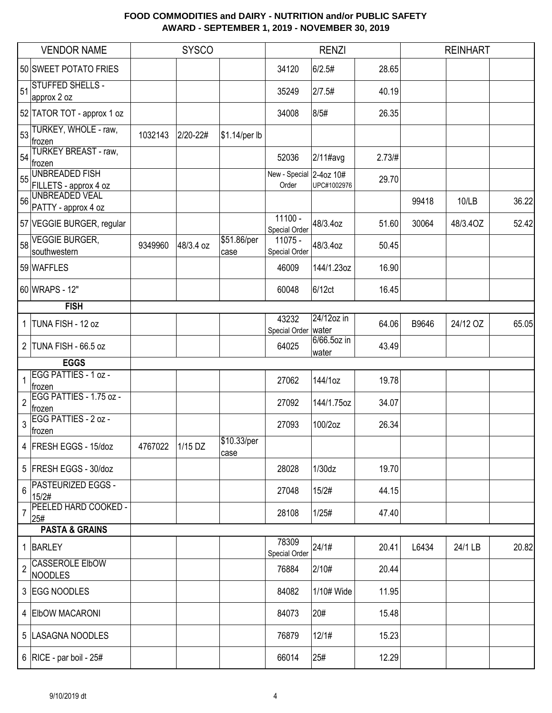|                | <b>VENDOR NAME</b>                             |         | <b>SYSCO</b> |                     |                                | <b>RENZI</b>             |        |       | <b>REINHART</b> |       |
|----------------|------------------------------------------------|---------|--------------|---------------------|--------------------------------|--------------------------|--------|-------|-----------------|-------|
|                | 50 SWEET POTATO FRIES                          |         |              |                     | 34120                          | 6/2.5#                   | 28.65  |       |                 |       |
| 51             | <b>STUFFED SHELLS -</b><br>approx 2 oz         |         |              |                     | 35249                          | 2/7.5#                   | 40.19  |       |                 |       |
|                | 52 TATOR TOT - approx 1 oz                     |         |              |                     | 34008                          | 8/5#                     | 26.35  |       |                 |       |
|                | 53 TURKEY, WHOLE - raw,<br>frozen              | 1032143 | 2/20-22#     | \$1.14/per lb       |                                |                          |        |       |                 |       |
| 54             | TURKEY BREAST - raw,<br>frozen                 |         |              |                     | 52036                          | 2/11#avg                 | 2.73/H |       |                 |       |
| 55             | <b>UNBREADED FISH</b><br>FILLETS - approx 4 oz |         |              |                     | New - Special<br>Order         | 2-4oz 10#<br>UPC#1002976 | 29.70  |       |                 |       |
| 56             | <b>UNBREADED VEAL</b><br>PATTY - approx 4 oz   |         |              |                     |                                |                          |        | 99418 | 10/LB           | 36.22 |
|                | 57 VEGGIE BURGER, regular                      |         |              |                     | 11100 -<br>Special Order       | 48/3.4oz                 | 51.60  | 30064 | 48/3.4OZ        | 52.42 |
|                | 58 VEGGIE BURGER,<br>southwestern              | 9349960 | 48/3.4 oz    | \$51.86/per<br>case | 11075 -<br>Special Order       | 48/3.4oz                 | 50.45  |       |                 |       |
|                | 59 WAFFLES                                     |         |              |                     | 46009                          | 144/1.23oz               | 16.90  |       |                 |       |
|                | 60 WRAPS - 12"                                 |         |              |                     | 60048                          | 6/12ct                   | 16.45  |       |                 |       |
|                | <b>FISH</b>                                    |         |              |                     |                                |                          |        |       |                 |       |
|                | 1 TUNA FISH - 12 oz                            |         |              |                     | 43232<br>Special Order   water | 24/12oz in               | 64.06  | B9646 | 24/12 OZ        | 65.05 |
|                | 2 TUNA FISH - 66.5 oz                          |         |              |                     | 64025                          | 6/66.5oz in<br>water     | 43.49  |       |                 |       |
|                | <b>EGGS</b>                                    |         |              |                     |                                |                          |        |       |                 |       |
|                | EGG PATTIES - 1 oz -<br>∣frozen                |         |              |                     | 27062                          | 144/1oz                  | 19.78  |       |                 |       |
| $\overline{c}$ | EGG PATTIES - 1.75 oz -<br>frozen              |         |              |                     | 27092                          | 144/1.75oz               | 34.07  |       |                 |       |
| 3              | EGG PATTIES - 2 oz -<br>frozen                 |         |              |                     | 27093                          | 100/2oz                  | 26.34  |       |                 |       |
|                | 4 FRESH EGGS - 15/doz                          | 4767022 | $1/15$ DZ    | \$10.33/per<br>case |                                |                          |        |       |                 |       |
|                | 5 FRESH EGGS - 30/doz                          |         |              |                     | 28028                          | 1/30dz                   | 19.70  |       |                 |       |
| 6              | <b>PASTEURIZED EGGS -</b><br>15/2#             |         |              |                     | 27048                          | 15/2#                    | 44.15  |       |                 |       |
| 7              | PEELED HARD COOKED -<br>25#                    |         |              |                     | 28108                          | 1/25#                    | 47.40  |       |                 |       |
|                | <b>PASTA &amp; GRAINS</b>                      |         |              |                     |                                |                          |        |       |                 |       |
|                | 1 BARLEY                                       |         |              |                     | 78309<br>Special Order         | 24/1#                    | 20.41  | L6434 | 24/1 LB         | 20.82 |
| $\overline{2}$ | <b>CASSEROLE EIbOW</b><br>NOODLES              |         |              |                     | 76884                          | 2/10#                    | 20.44  |       |                 |       |
|                | 3 EGG NOODLES                                  |         |              |                     | 84082                          | 1/10# Wide               | 11.95  |       |                 |       |
|                | 4 ElbOW MACARONI                               |         |              |                     | 84073                          | 20#                      | 15.48  |       |                 |       |
|                | 5  LASAGNA NOODLES                             |         |              |                     | 76879                          | 12/1#                    | 15.23  |       |                 |       |
|                | 6   RICE - par boil - $25#$                    |         |              |                     | 66014                          | 25#                      | 12.29  |       |                 |       |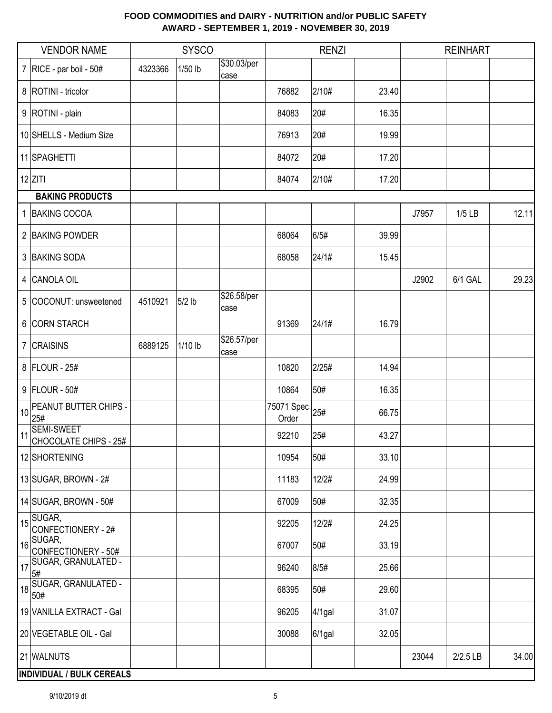|    | <b>VENDOR NAME</b>                                                                       |         | <b>SYSCO</b> |                     |                     | <b>RENZI</b> |       |       | <b>REINHART</b> |       |
|----|------------------------------------------------------------------------------------------|---------|--------------|---------------------|---------------------|--------------|-------|-------|-----------------|-------|
|    | 7   RICE - par boil - $50#$                                                              | 4323366 | 1/50 lb      | \$30.03/per<br>case |                     |              |       |       |                 |       |
|    | 8   ROTINI - tricolor                                                                    |         |              |                     | 76882               | 2/10#        | 23.40 |       |                 |       |
|    | 9 ROTINI - plain                                                                         |         |              |                     | 84083               | 20#          | 16.35 |       |                 |       |
|    | 10 SHELLS - Medium Size                                                                  |         |              |                     | 76913               | 20#          | 19.99 |       |                 |       |
|    | 11 SPAGHETTI                                                                             |         |              |                     | 84072               | 20#          | 17.20 |       |                 |       |
|    | $12$ ZITI                                                                                |         |              |                     | 84074               | 2/10#        | 17.20 |       |                 |       |
|    | <b>BAKING PRODUCTS</b>                                                                   |         |              |                     |                     |              |       |       |                 |       |
|    | 1 BAKING COCOA                                                                           |         |              |                     |                     |              |       | J7957 | $1/5$ LB        | 12.11 |
|    | 2 BAKING POWDER                                                                          |         |              |                     | 68064               | 6/5#         | 39.99 |       |                 |       |
|    | 3 BAKING SODA                                                                            |         |              |                     | 68058               | 24/1#        | 15.45 |       |                 |       |
|    | 4 CANOLA OIL                                                                             |         |              |                     |                     |              |       | J2902 | 6/1 GAL         | 29.23 |
|    | 5 COCONUT: unsweetened                                                                   | 4510921 | 5/2 lb       | \$26.58/per<br>case |                     |              |       |       |                 |       |
|    | 6 CORN STARCH                                                                            |         |              |                     | 91369               | 24/1#        | 16.79 |       |                 |       |
|    | 7 CRAISINS                                                                               | 6889125 | 1/10 lb      | \$26.57/per<br>case |                     |              |       |       |                 |       |
|    | 8 FLOUR - 25#                                                                            |         |              |                     | 10820               | 2/25#        | 14.94 |       |                 |       |
|    | $9$ FLOUR - 50#                                                                          |         |              |                     | 10864               | 50#          | 16.35 |       |                 |       |
| 10 | PEANUT BUTTER CHIPS -<br>25#                                                             |         |              |                     | 75071 Spec<br>Order | 25#          | 66.75 |       |                 |       |
| 11 | <b>SEMI-SWEET</b><br>CHOCOLATE CHIPS - 25#                                               |         |              |                     | 92210               | 25#          | 43.27 |       |                 |       |
|    | 12 SHORTENING                                                                            |         |              |                     | 10954               | 50#          | 33.10 |       |                 |       |
|    | 13 SUGAR, BROWN - 2#                                                                     |         |              |                     | 11183               | 12/2#        | 24.99 |       |                 |       |
|    | 14 SUGAR, BROWN - 50#                                                                    |         |              |                     | 67009               | 50#          | 32.35 |       |                 |       |
|    | $15\overline{\smash{\big  \frac{\text{SUGAR},}{\text{SUGAR},}}\n}$<br>CONFECTIONERY - 2# |         |              |                     | 92205               | 12/2#        | 24.25 |       |                 |       |
|    | $16$ SUGAR,<br>CONFECTIONERY - 50#                                                       |         |              |                     | 67007               | 50#          | 33.19 |       |                 |       |
|    | 17 SUGAR, GRANULATED -<br>5#                                                             |         |              |                     | 96240               | 8/5#         | 25.66 |       |                 |       |
|    | SUGAR, GRANULATED -<br>50#                                                               |         |              |                     | 68395               | 50#          | 29.60 |       |                 |       |
|    | 19 VANILLA EXTRACT - Gal                                                                 |         |              |                     | 96205               | $4/1$ gal    | 31.07 |       |                 |       |
|    | 20 VEGETABLE OIL - Gal                                                                   |         |              |                     | 30088               | $6/1$ gal    | 32.05 |       |                 |       |
|    | 21 WALNUTS                                                                               |         |              |                     |                     |              |       | 23044 | 2/2.5 LB        | 34.00 |
|    | <b>INDIVIDUAL / BULK CEREALS</b>                                                         |         |              |                     |                     |              |       |       |                 |       |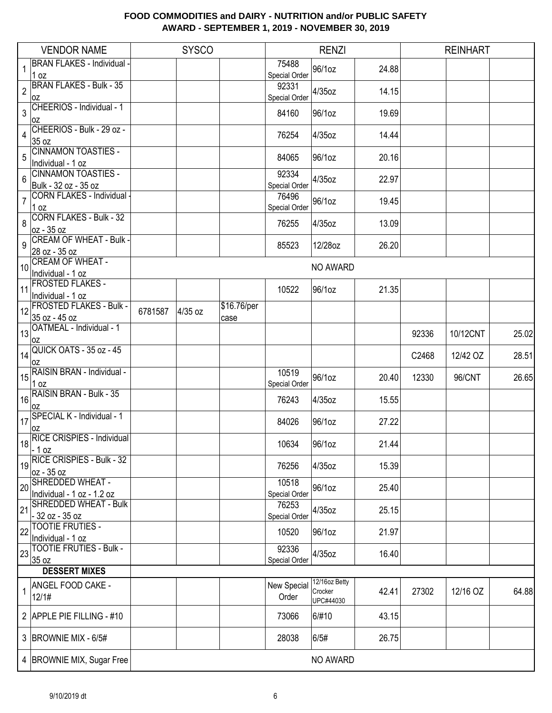|                 | <b>VENDOR NAME</b>                                             |         | <b>SYSCO</b> |                     |                        | <b>RENZI</b>                          |       |       | <b>REINHART</b> |       |
|-----------------|----------------------------------------------------------------|---------|--------------|---------------------|------------------------|---------------------------------------|-------|-------|-----------------|-------|
|                 | <b>BRAN FLAKES - Individual -</b><br>1 oz                      |         |              |                     | 75488<br>Special Order | 96/1oz                                | 24.88 |       |                 |       |
| $\overline{c}$  | <b>BRAN FLAKES - Bulk - 35</b><br>0Z                           |         |              |                     | 92331<br>Special Order | 4/35oz                                | 14.15 |       |                 |       |
| 3               | CHEERIOS - Individual - 1<br>loz                               |         |              |                     | 84160                  | 96/1oz                                | 19.69 |       |                 |       |
| 4               | CHEERIOS - Bulk - 29 oz -<br>35 oz                             |         |              |                     | 76254                  | 4/35oz                                | 14.44 |       |                 |       |
| 5               | <b>CINNAMON TOASTIES -</b><br>Individual - 1 oz                |         |              |                     | 84065                  | 96/1oz                                | 20.16 |       |                 |       |
| $6\phantom{1}6$ | CINNAMON TOASTIES -<br>Bulk - 32 oz - 35 oz                    |         |              |                     | 92334<br>Special Order | 4/35oz                                | 22.97 |       |                 |       |
| $\overline{7}$  | CORN FLAKES - Individual<br>$1$ oz                             |         |              |                     | 76496<br>Special Order | 96/1oz                                | 19.45 |       |                 |       |
| 8               | CORN FLAKES - Bulk - 32<br>oz - 35 oz                          |         |              |                     | 76255                  | 4/35oz                                | 13.09 |       |                 |       |
| 9               | <b>CREAM OF WHEAT - Bulk -</b><br>28 oz - 35 oz                |         |              |                     | 85523                  | 12/28oz                               | 26.20 |       |                 |       |
| 10              | <b>CREAM OF WHEAT -</b><br>Individual - 1 oz                   |         |              |                     |                        | NO AWARD                              |       |       |                 |       |
| 11              | <b>FROSTED FLAKES -</b><br>Individual - 1 oz                   |         |              |                     | 10522                  | 96/1oz                                | 21.35 |       |                 |       |
|                 | 12 FROSTED FLAKES - Bulk -<br>35 oz - 45 oz                    | 6781587 | 4/35 oz      | \$16.76/per<br>case |                        |                                       |       |       |                 |       |
|                 | $\left  \frac{1}{13} \right $ OATMEAL - Individual - 1<br>l OZ |         |              |                     |                        |                                       |       | 92336 | 10/12CNT        | 25.02 |
|                 | $\frac{1}{14}$ QUICK OATS - 35 oz - 45<br>l OZ                 |         |              |                     |                        |                                       |       | C2468 | 12/42 OZ        | 28.51 |
|                 | 15 RAISIN BRAN - Individual -<br>1 oz                          |         |              |                     | 10519<br>Special Order | 96/1oz                                | 20.40 | 12330 | 96/CNT          | 26.65 |
|                 | $16$ RAISIN BRAN - Bulk - 35<br>l OZ                           |         |              |                     | 76243                  | 4/35oz                                | 15.55 |       |                 |       |
|                 | 17SPECIAL K - Individual - 1<br>l OZ                           |         |              |                     | 84026                  | 96/1oz                                | 27.22 |       |                 |       |
|                 | 18 RICE CRISPIES - Individual                                  |         |              |                     | 10634                  | 96/1oz                                | 21.44 |       |                 |       |
|                 | 19 RICE CRISPIES - Bulk - 32<br>oz - 35 oz                     |         |              |                     | 76256                  | 4/35oz                                | 15.39 |       |                 |       |
| 20              | SHREDDED WHEAT -<br>Individual - 1 oz - 1.2 oz                 |         |              |                     | 10518<br>Special Order | 96/1oz                                | 25.40 |       |                 |       |
| 21              | SHREDDED WHEAT - Bulk<br>$-32$ oz $-35$ oz                     |         |              |                     | 76253<br>Special Order | 4/35oz                                | 25.15 |       |                 |       |
| 22              | <b>TOOTIE FRUTIES -</b><br>Individual - 1 oz                   |         |              |                     | 10520                  | 96/1oz                                | 21.97 |       |                 |       |
| 23              | <b>TOOTIE FRUTIES - Bulk -</b><br>35 oz                        |         |              |                     | 92336<br>Special Order | 4/35oz                                | 16.40 |       |                 |       |
|                 | <b>DESSERT MIXES</b>                                           |         |              |                     |                        |                                       |       |       |                 |       |
| $\mathbf{1}$    | ANGEL FOOD CAKE -<br>12/1#                                     |         |              |                     | New Special<br>Order   | 12/16oz Betty<br>Crocker<br>UPC#44030 | 42.41 | 27302 | 12/16 OZ        | 64.88 |
|                 | 2 APPLE PIE FILLING - #10                                      |         |              |                     | 73066                  | 6/#10                                 | 43.15 |       |                 |       |
|                 | 3 BROWNIE MIX - 6/5#                                           |         |              |                     | 28038                  | 6/5#                                  | 26.75 |       |                 |       |
|                 | 4   BROWNIE MIX, Sugar Free                                    |         |              |                     |                        | NO AWARD                              |       |       |                 |       |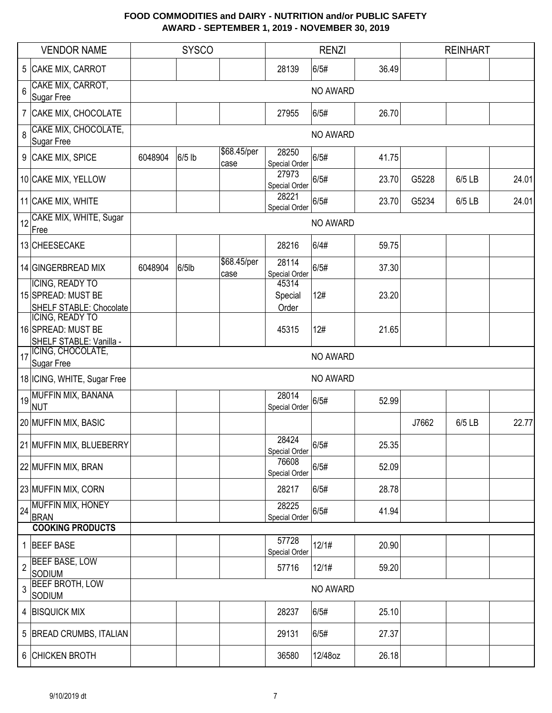|                | <b>VENDOR NAME</b>                                               |         | <b>SYSCO</b> |                     |                           | <b>RENZI</b> |       |       | <b>REINHART</b> |       |
|----------------|------------------------------------------------------------------|---------|--------------|---------------------|---------------------------|--------------|-------|-------|-----------------|-------|
|                | 5 CAKE MIX, CARROT                                               |         |              |                     | 28139                     | 6/5#         | 36.49 |       |                 |       |
| $6\phantom{a}$ | CAKE MIX, CARROT,<br>Sugar Free                                  |         |              |                     |                           | NO AWARD     |       |       |                 |       |
|                | 7 CAKE MIX, CHOCOLATE                                            |         |              |                     | 27955                     | 6/5#         | 26.70 |       |                 |       |
| 8              | CAKE MIX, CHOCOLATE,<br>Sugar Free                               |         |              |                     |                           | NO AWARD     |       |       |                 |       |
|                | 9 CAKE MIX, SPICE                                                | 6048904 | 6/5 lb       | \$68.45/per<br>case | 28250<br>Special Order    | 6/5#         | 41.75 |       |                 |       |
|                | 10 CAKE MIX, YELLOW                                              |         |              |                     | 27973<br>Special Order    | 6/5#         | 23.70 | G5228 | 6/5 LB          | 24.01 |
|                | 11 CAKE MIX, WHITE                                               |         |              |                     | 28221<br>Special Order    | 6/5#         | 23.70 | G5234 | 6/5 LB          | 24.01 |
| 12             | CAKE MIX, WHITE, Sugar<br>Free                                   |         |              |                     |                           | NO AWARD     |       |       |                 |       |
|                | 13 CHEESECAKE                                                    |         |              |                     | 28216                     | 6/4#         | 59.75 |       |                 |       |
|                | 14 GINGERBREAD MIX                                               | 6048904 | $6/5$ lb     | \$68.45/per<br>case | 28114<br>Special Order    | 6/5#         | 37.30 |       |                 |       |
|                | ICING, READY TO<br>15 SPREAD: MUST BE<br>SHELF STABLE: Chocolate |         |              |                     | 45314<br>Special<br>Order | 12#          | 23.20 |       |                 |       |
|                | ICING, READY TO<br>16 SPREAD: MUST BE<br>SHELF STABLE: Vanilla - |         |              |                     | 45315                     | 12#          | 21.65 |       |                 |       |
| 17             | ICING, CHOCOLATE,<br>Sugar Free                                  |         |              |                     |                           | NO AWARD     |       |       |                 |       |
|                | 18 ICING, WHITE, Sugar Free                                      |         |              |                     |                           | NO AWARD     |       |       |                 |       |
|                | 19 MUFFIN MIX, BANANA<br><b>NUT</b>                              |         |              |                     | 28014<br>Special Order    | 6/5#         | 52.99 |       |                 |       |
|                | 20 MUFFIN MIX, BASIC                                             |         |              |                     |                           |              |       | J7662 | 6/5 LB          | 22.77 |
|                | 21 MUFFIN MIX, BLUEBERRY                                         |         |              |                     | 28424<br>Special Order    | 6/5#         | 25.35 |       |                 |       |
|                | 22 MUFFIN MIX, BRAN                                              |         |              |                     | 76608<br>Special Order    | 6/5#         | 52.09 |       |                 |       |
|                | 23 MUFFIN MIX, CORN                                              |         |              |                     | 28217                     | 6/5#         | 28.78 |       |                 |       |
|                | 24 MUFFIN MIX, HONEY<br><b>BRAN</b>                              |         |              |                     | 28225<br>Special Order    | 6/5#         | 41.94 |       |                 |       |
|                | <b>COOKING PRODUCTS</b>                                          |         |              |                     |                           |              |       |       |                 |       |
|                | 1 BEEF BASE                                                      |         |              |                     | 57728<br>Special Order    | 12/1#        | 20.90 |       |                 |       |
| $\overline{2}$ | <b>BEEF BASE, LOW</b><br><b>SODIUM</b>                           |         |              |                     | 57716                     | 12/1#        | 59.20 |       |                 |       |
| 3              | <b>BEEF BROTH, LOW</b><br><b>SODIUM</b>                          |         |              |                     |                           | NO AWARD     |       |       |                 |       |
|                | 4 BISQUICK MIX                                                   |         |              |                     | 28237                     | 6/5#         | 25.10 |       |                 |       |
|                | 5 BREAD CRUMBS, ITALIAN                                          |         |              |                     | 29131                     | 6/5#         | 27.37 |       |                 |       |
|                | 6 CHICKEN BROTH                                                  |         |              |                     | 36580                     | 12/48oz      | 26.18 |       |                 |       |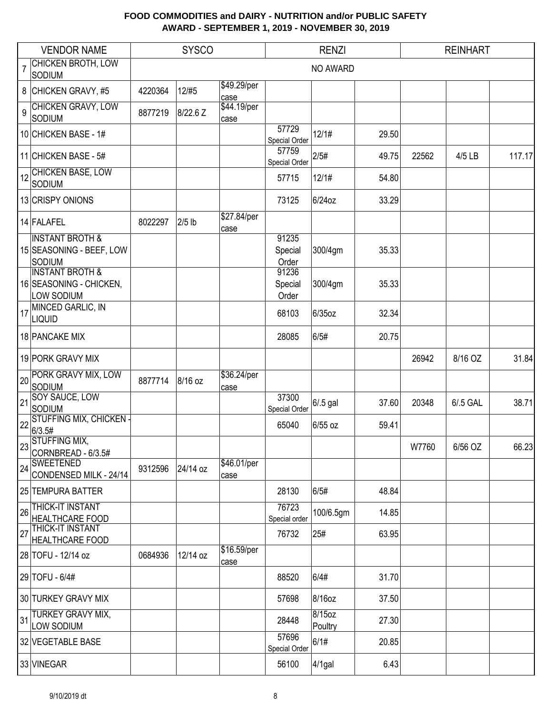|    | <b>VENDOR NAME</b>                                                      |         | <b>SYSCO</b> |                     |                           | <b>RENZI</b>      |       |       | <b>REINHART</b> |        |
|----|-------------------------------------------------------------------------|---------|--------------|---------------------|---------------------------|-------------------|-------|-------|-----------------|--------|
|    | <b>CHICKEN BROTH, LOW</b><br><b>SODIUM</b>                              |         |              |                     |                           | NO AWARD          |       |       |                 |        |
|    | 8 CHICKEN GRAVY, #5                                                     | 4220364 | 12/#5        | \$49.29/per<br>case |                           |                   |       |       |                 |        |
| 9  | <b>CHICKEN GRAVY, LOW</b><br>SODIUM                                     | 8877219 | 8/22.6 Z     | \$44.19/per<br>case |                           |                   |       |       |                 |        |
|    | 10 CHICKEN BASE - 1#                                                    |         |              |                     | 57729<br>Special Order    | 12/1#             | 29.50 |       |                 |        |
|    | 11 CHICKEN BASE - 5#                                                    |         |              |                     | 57759<br>Special Order    | 2/5#              | 49.75 | 22562 | 4/5 LB          | 117.17 |
|    | CHICKEN BASE, LOW<br>SODIUM                                             |         |              |                     | 57715                     | 12/1#             | 54.80 |       |                 |        |
|    | 13 CRISPY ONIONS                                                        |         |              |                     | 73125                     | 6/24oz            | 33.29 |       |                 |        |
|    | 14 FALAFEL                                                              | 8022297 | $2/5$ lb     | \$27.84/per<br>case |                           |                   |       |       |                 |        |
|    | <b>INSTANT BROTH &amp;</b><br>15 SEASONING - BEEF, LOW<br><b>SODIUM</b> |         |              |                     | 91235<br>Special<br>Order | 300/4gm           | 35.33 |       |                 |        |
|    | <b>INSTANT BROTH &amp;</b><br>16 SEASONING - CHICKEN,<br>LOW SODIUM     |         |              |                     | 91236<br>Special<br>Order | 300/4gm           | 35.33 |       |                 |        |
| 17 | MINCED GARLIC, IN<br><b>LIQUID</b>                                      |         |              |                     | 68103                     | 6/35oz            | 32.34 |       |                 |        |
|    | 18 PANCAKE MIX                                                          |         |              |                     | 28085                     | 6/5#              | 20.75 |       |                 |        |
|    | 19 PORK GRAVY MIX                                                       |         |              |                     |                           |                   |       | 26942 | 8/16 OZ         | 31.84  |
|    | 20 PORK GRAVY MIX, LOW<br><b>SODIUM</b>                                 | 8877714 | 8/16 oz      | \$36.24/per<br>case |                           |                   |       |       |                 |        |
| 21 | <b>SOY SAUCE, LOW</b><br><b>SODIUM</b>                                  |         |              |                     | 37300<br>Special Order    | 6/.5 gal          | 37.60 | 20348 | 6/.5 GAL        | 38.71  |
| 22 | <b>STUFFING MIX, CHICKEN -</b><br>6/3.5#                                |         |              |                     | 65040                     | 6/55 oz           | 59.41 |       |                 |        |
|    | on STUFFING MIX,<br>$23$ CORNBREAD - 6/3.5#                             |         |              |                     |                           |                   |       | W7760 | 6/56 OZ         | 66.23  |
| 24 | <b>SWEETENED</b><br>CONDENSED MILK - 24/14                              | 9312596 | 24/14 oz     | \$46.01/per<br>case |                           |                   |       |       |                 |        |
|    | 25 TEMPURA BATTER                                                       |         |              |                     | 28130                     | 6/5#              | 48.84 |       |                 |        |
| 26 | <b>THICK-IT INSTANT</b><br><b>HEALTHCARE FOOD</b>                       |         |              |                     | 76723<br>Special order    | 100/6.5gm         | 14.85 |       |                 |        |
| 27 | <b>THICK-IT INSTANT</b><br><b>HEALTHCARE FOOD</b>                       |         |              |                     | 76732                     | 25#               | 63.95 |       |                 |        |
|    | 28 TOFU - 12/14 oz                                                      | 0684936 | 12/14 oz     | \$16.59/per<br>case |                           |                   |       |       |                 |        |
|    | 29 TOFU - 6/4#                                                          |         |              |                     | 88520                     | 6/4#              | 31.70 |       |                 |        |
|    | 30 TURKEY GRAVY MIX                                                     |         |              |                     | 57698                     | 8/16oz            | 37.50 |       |                 |        |
| 31 | <b>TURKEY GRAVY MIX,</b><br>LOW SODIUM                                  |         |              |                     | 28448                     | 8/15oz<br>Poultry | 27.30 |       |                 |        |
|    | 32 VEGETABLE BASE                                                       |         |              |                     | 57696<br>Special Order    | 6/1#              | 20.85 |       |                 |        |
|    | 33 VINEGAR                                                              |         |              |                     | 56100                     | $4/1$ gal         | 6.43  |       |                 |        |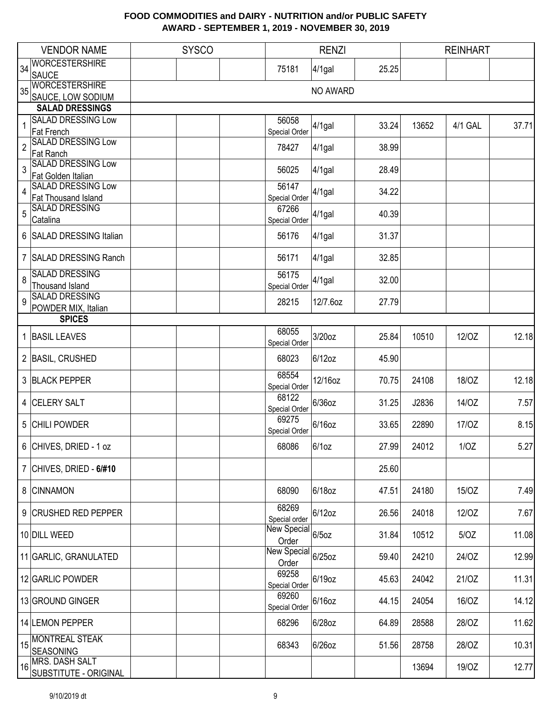|                | <b>VENDOR NAME</b>                               | <b>SYSCO</b> |                                                       | <b>RENZI</b> |       |       | <b>REINHART</b> |       |
|----------------|--------------------------------------------------|--------------|-------------------------------------------------------|--------------|-------|-------|-----------------|-------|
| 34             | <b>WORCESTERSHIRE</b>                            |              | 75181                                                 | $4/1$ gal    | 25.25 |       |                 |       |
|                | <b>SAUCE</b>                                     |              |                                                       |              |       |       |                 |       |
| 35             | <b>WORCESTERSHIRE</b>                            |              |                                                       | NO AWARD     |       |       |                 |       |
|                | SAUCE, LOW SODIUM                                |              |                                                       |              |       |       |                 |       |
|                | <b>SALAD DRESSINGS</b>                           |              |                                                       |              |       |       |                 |       |
| 1              | <b>SALAD DRESSING Low</b>                        |              | 56058                                                 | $4/1$ gal    | 33.24 | 13652 | 4/1 GAL         | 37.71 |
|                | Fat French<br><b>SALAD DRESSING Low</b>          |              | Special Order                                         |              |       |       |                 |       |
| $\overline{c}$ | <b>Fat Ranch</b>                                 |              | 78427                                                 | $4/1$ gal    | 38.99 |       |                 |       |
| 3              | <b>SALAD DRESSING Low</b><br>Fat Golden Italian  |              | 56025                                                 | $4/1$ gal    | 28.49 |       |                 |       |
| 4              | <b>SALAD DRESSING Low</b><br>Fat Thousand Island |              | 56147<br>Special Order                                | $4/1$ gal    | 34.22 |       |                 |       |
| 5              | <b>SALAD DRESSING</b><br>Catalina                |              | 67266<br>Special Order                                | $4/1$ gal    | 40.39 |       |                 |       |
|                | 6 SALAD DRESSING Italian                         |              | 56176                                                 | $4/1$ gal    | 31.37 |       |                 |       |
|                | 7 SALAD DRESSING Ranch                           |              | 56171                                                 | $4/1$ gal    | 32.85 |       |                 |       |
| 8              | <b>SALAD DRESSING</b><br>Thousand Island         |              | 56175<br>Special Order                                | $4/1$ gal    | 32.00 |       |                 |       |
| 9              | <b>SALAD DRESSING</b>                            |              | 28215                                                 | 12/7.6oz     | 27.79 |       |                 |       |
|                | POWDER MIX, Italian<br><b>SPICES</b>             |              |                                                       |              |       |       |                 |       |
|                |                                                  |              | 68055                                                 |              |       |       |                 |       |
|                | 1 BASIL LEAVES                                   |              | Special Order                                         | 3/20oz       | 25.84 | 10510 | 12/0Z           | 12.18 |
|                | 2 BASIL, CRUSHED                                 |              | 68023                                                 | 6/12oz       | 45.90 |       |                 |       |
|                | 3 BLACK PEPPER                                   |              | 68554<br>Special Order                                | 12/16oz      | 70.75 | 24108 | 18/OZ           | 12.18 |
|                | 4 CELERY SALT                                    |              | 68122<br>Special Order                                | 6/36oz       | 31.25 | J2836 | 14/OZ           | 7.57  |
|                | 5 CHILI POWDER                                   |              | 69275<br>Special Order                                | 6/16oz       | 33.65 | 22890 | 17/0Z           | 8.15  |
|                | 6 CHIVES, DRIED - 1 oz                           |              | 68086                                                 | 6/10z        | 27.99 | 24012 | 1/OZ            | 5.27  |
|                | 7 CHIVES, DRIED - $6/#10$                        |              |                                                       |              | 25.60 |       |                 |       |
|                | 8 CINNAMON                                       |              | 68090                                                 | 6/18oz       | 47.51 | 24180 | 15/OZ           | 7.49  |
|                | 9 CRUSHED RED PEPPER                             |              | 68269<br>Special order                                | 6/12oz       | 26.56 | 24018 | 12/0Z           | 7.67  |
|                | 10 DILL WEED                                     |              | $\frac{3p}{\text{New Special}}\Big _{6/50z}$<br>Order |              | 31.84 | 10512 | 5/OZ            | 11.08 |
|                | 11 GARLIC, GRANULATED                            |              | New Special 6/25oz<br>Order                           |              | 59.40 | 24210 | 24/OZ           | 12.99 |
|                | 12 GARLIC POWDER                                 |              | 69258<br>Special Order                                | 6/19oz       | 45.63 | 24042 | 21/0Z           | 11.31 |
|                | 13 GROUND GINGER                                 |              | 69260<br>Special Order                                | 6/16oz       | 44.15 | 24054 | 16/OZ           | 14.12 |
|                | 14 LEMON PEPPER                                  |              | 68296                                                 | 6/28oz       | 64.89 | 28588 | 28/OZ           | 11.62 |
| 15             | <b>MONTREAL STEAK</b><br><b>SEASONING</b>        |              | 68343                                                 | 6/26oz       | 51.56 | 28758 | 28/OZ           | 10.31 |
| 16             | MRS. DASH SALT<br>SUBSTITUTE - ORIGINAL          |              |                                                       |              |       | 13694 | 19/0Z           | 12.77 |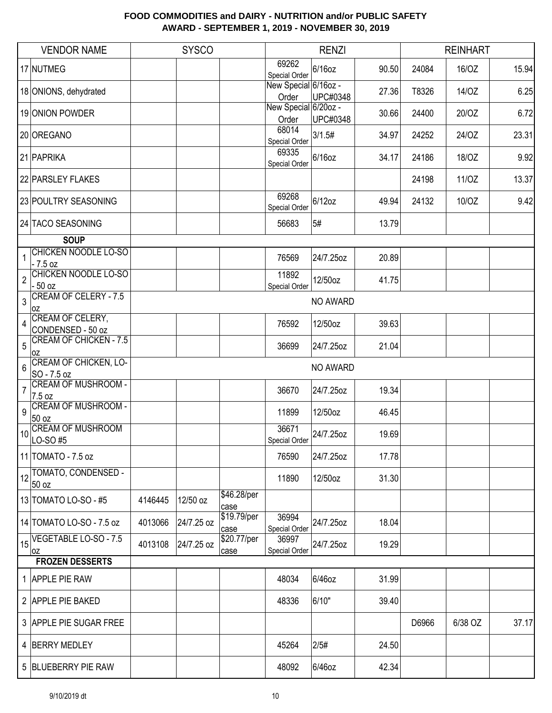|                | <b>VENDOR NAME</b>                                  |         | <b>SYSCO</b> |                     |                               | <b>RENZI</b>    |       |       | <b>REINHART</b> |       |
|----------------|-----------------------------------------------------|---------|--------------|---------------------|-------------------------------|-----------------|-------|-------|-----------------|-------|
|                | 17 NUTMEG                                           |         |              |                     | 69262<br>Special Order        | 6/16oz          | 90.50 | 24084 | 16/OZ           | 15.94 |
|                | 18 ONIONS, dehydrated                               |         |              |                     | New Special 6/16oz -<br>Order | <b>UPC#0348</b> | 27.36 | T8326 | 14/OZ           | 6.25  |
|                | 19 ONION POWDER                                     |         |              |                     | New Special 6/20oz -<br>Order | <b>UPC#0348</b> | 30.66 | 24400 | 20/OZ           | 6.72  |
|                | 20 OREGANO                                          |         |              |                     | 68014<br>Special Order        | 3/1.5#          | 34.97 | 24252 | 24/OZ           | 23.31 |
|                | 21 PAPRIKA                                          |         |              |                     | 69335<br>Special Order        | 6/16oz          | 34.17 | 24186 | 18/OZ           | 9.92  |
|                | 22 PARSLEY FLAKES                                   |         |              |                     |                               |                 |       | 24198 | 11/0Z           | 13.37 |
|                | 23 POULTRY SEASONING                                |         |              |                     | 69268<br>Special Order        | 6/12oz          | 49.94 | 24132 | 10/OZ           | 9.42  |
|                | 24 TACO SEASONING                                   |         |              |                     | 56683                         | 5#              | 13.79 |       |                 |       |
|                | <b>SOUP</b>                                         |         |              |                     |                               |                 |       |       |                 |       |
| $\mathbf{1}$   | <b>CHICKEN NOODLE LO-SO</b><br>$-7.5$ oz            |         |              |                     | 76569                         | 24/7.25oz       | 20.89 |       |                 |       |
| $\overline{2}$ | <b>CHICKEN NOODLE LO-SO</b><br>- 50 oz              |         |              |                     | 11892<br>Special Order        | 12/50oz         | 41.75 |       |                 |       |
| 3              | <b>CREAM OF CELERY - 7.5</b><br>0Z                  |         |              |                     |                               | NO AWARD        |       |       |                 |       |
| 4              | CREAM OF CELERY,<br>CONDENSED - 50 oz               |         |              |                     | 76592                         | 12/50oz         | 39.63 |       |                 |       |
| 5              | <b>CREAM OF CHICKEN - 7.5</b>                       |         |              |                     | 36699                         | 24/7.25oz       | 21.04 |       |                 |       |
| 6              | 0Z<br><b>CREAM OF CHICKEN, LO-</b>                  |         |              |                     |                               | NO AWARD        |       |       |                 |       |
| $\overline{7}$ | SO - 7.5 oz<br><b>CREAM OF MUSHROOM -</b><br>7.5 oz |         |              |                     | 36670                         | 24/7.25oz       | 19.34 |       |                 |       |
| 9              | <b>CREAM OF MUSHROOM -</b><br>50 oz                 |         |              |                     | 11899                         | 12/50oz         | 46.45 |       |                 |       |
| 10             | <b>CREAM OF MUSHROOM</b><br>LO-SO#5                 |         |              |                     | 36671<br>Special Order        | 24/7.25oz       | 19.69 |       |                 |       |
|                | 11 TOMATO - 7.5 oz                                  |         |              |                     | 76590                         | 24/7.25oz       | 17.78 |       |                 |       |
|                | 12 TOMATO, CONDENSED -<br>50 oz                     |         |              |                     | 11890                         | 12/50oz         | 31.30 |       |                 |       |
|                | 13 TOMATO LO-SO - #5                                | 4146445 | 12/50 oz     | \$46.28/per<br>case |                               |                 |       |       |                 |       |
|                | 14 TOMATO LO-SO - 7.5 oz                            | 4013066 | 24/7.25 oz   | \$19.79/per<br>case | 36994<br>Special Order        | 24/7.25oz       | 18.04 |       |                 |       |
| 15             | VEGETABLE LO-SO - 7.5<br>loz                        | 4013108 | 24/7.25 oz   | \$20.77/per<br>case | 36997<br>Special Order        | 24/7.25oz       | 19.29 |       |                 |       |
|                | <b>FROZEN DESSERTS</b>                              |         |              |                     |                               |                 |       |       |                 |       |
|                | 1 APPLE PIE RAW                                     |         |              |                     | 48034                         | 6/46oz          | 31.99 |       |                 |       |
|                | 2 APPLE PIE BAKED                                   |         |              |                     | 48336                         | 6/10"           | 39.40 |       |                 |       |
|                | 3 APPLE PIE SUGAR FREE                              |         |              |                     |                               |                 |       | D6966 | 6/38 OZ         | 37.17 |
|                | 4 BERRY MEDLEY                                      |         |              |                     | 45264                         | 2/5#            | 24.50 |       |                 |       |
|                | 5 BLUEBERRY PIE RAW                                 |         |              |                     | 48092                         | 6/46oz          | 42.34 |       |                 |       |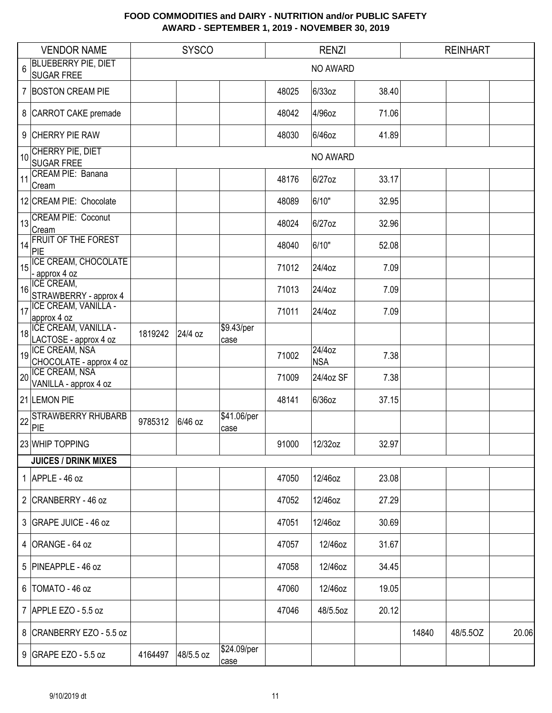|    | <b>VENDOR NAME</b>                              |         | <b>SYSCO</b> |                     |       | <b>RENZI</b>         |       |       | <b>REINHART</b> |       |
|----|-------------------------------------------------|---------|--------------|---------------------|-------|----------------------|-------|-------|-----------------|-------|
| 6  | <b>BLUEBERRY PIE, DIET</b><br><b>SUGAR FREE</b> |         |              |                     |       | NO AWARD             |       |       |                 |       |
|    | 7 BOSTON CREAM PIE                              |         |              |                     | 48025 | 6/33oz               | 38.40 |       |                 |       |
|    |                                                 |         |              |                     |       |                      |       |       |                 |       |
|    | 8 CARROT CAKE premade                           |         |              |                     | 48042 | 4/96oz               | 71.06 |       |                 |       |
|    | 9 CHERRY PIE RAW                                |         |              |                     | 48030 | 6/46oz               | 41.89 |       |                 |       |
| 10 | CHERRY PIE, DIET<br><b>SUGAR FREE</b>           |         |              |                     |       | NO AWARD             |       |       |                 |       |
| 11 | CREAM PIE: Banana<br>Cream                      |         |              |                     | 48176 | 6/27oz               | 33.17 |       |                 |       |
|    | 12 CREAM PIE: Chocolate                         |         |              |                     | 48089 | 6/10"                | 32.95 |       |                 |       |
| 13 | <b>CREAM PIE: Coconut</b><br>Cream              |         |              |                     | 48024 | 6/27oz               | 32.96 |       |                 |       |
| 14 | <b>FRUIT OF THE FOREST</b><br>PIE               |         |              |                     | 48040 | 6/10"                | 52.08 |       |                 |       |
| 15 | ICE CREAM, CHOCOLATE                            |         |              |                     | 71012 | 24/4oz               | 7.09  |       |                 |       |
| 16 | - approx 4 oz<br>ICE CREAM,                     |         |              |                     | 71013 | 24/4oz               | 7.09  |       |                 |       |
| 17 | STRAWBERRY - approx 4<br>ICE CREAM, VANILLA -   |         |              |                     | 71011 | 24/4oz               | 7.09  |       |                 |       |
|    | approx 4 oz<br>ICE CREAM, VANILLA -             |         |              | \$9.43/per          |       |                      |       |       |                 |       |
| 18 | LACTOSE - approx 4 oz                           | 1819242 | 24/4 oz      | case                |       |                      |       |       |                 |       |
| 19 | ICE CREAM, NSA<br>CHOCOLATE - approx 4 oz       |         |              |                     | 71002 | 24/4oz<br><b>NSA</b> | 7.38  |       |                 |       |
| 20 | ICE CREAM, NSA<br>VANILLA - approx 4 oz         |         |              |                     | 71009 | 24/4oz SF            | 7.38  |       |                 |       |
|    | 21 LEMON PIE                                    |         |              |                     | 48141 | 6/36oz               | 37.15 |       |                 |       |
| 22 | <b>STRAWBERRY RHUBARB</b><br>PIE                | 9785312 | 6/46 oz      | \$41.06/per<br>case |       |                      |       |       |                 |       |
|    | 23 WHIP TOPPING                                 |         |              |                     | 91000 | 12/32oz              | 32.97 |       |                 |       |
|    | <b>JUICES / DRINK MIXES</b>                     |         |              |                     |       |                      |       |       |                 |       |
|    | 1 APPLE - 46 oz                                 |         |              |                     | 47050 | 12/46oz              | 23.08 |       |                 |       |
|    | 2 CRANBERRY - 46 oz                             |         |              |                     | 47052 | 12/46oz              | 27.29 |       |                 |       |
|    | 3 GRAPE JUICE - 46 oz                           |         |              |                     | 47051 | 12/46oz              | 30.69 |       |                 |       |
|    | 4 ORANGE - 64 oz                                |         |              |                     | 47057 | 12/46oz              | 31.67 |       |                 |       |
|    | 5 PINEAPPLE - 46 oz                             |         |              |                     | 47058 | 12/46oz              | 34.45 |       |                 |       |
|    | $6$  TOMATO - 46 oz                             |         |              |                     | 47060 | 12/46oz              | 19.05 |       |                 |       |
|    | 7 APPLE EZO - 5.5 oz                            |         |              |                     | 47046 | 48/5.5oz             | 20.12 |       |                 |       |
|    | 8 CRANBERRY EZO - 5.5 oz                        |         |              |                     |       |                      |       | 14840 | 48/5.5OZ        | 20.06 |
|    | 9 GRAPE EZO - 5.5 oz                            | 4164497 | 48/5.5 oz    | \$24.09/per<br>case |       |                      |       |       |                 |       |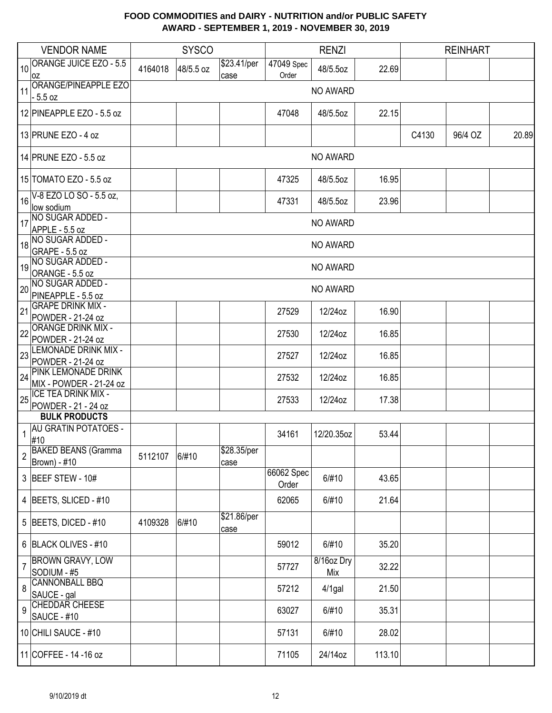|                | <b>VENDOR NAME</b>                            |         | <b>SYSCO</b> |                     |                     | <b>RENZI</b>      |        |       | <b>REINHART</b> |       |
|----------------|-----------------------------------------------|---------|--------------|---------------------|---------------------|-------------------|--------|-------|-----------------|-------|
| 10             | <b>ORANGE JUICE EZO - 5.5</b><br>0Z           | 4164018 | 48/5.5 oz    | \$23.41/per<br>case | 47049 Spec<br>Order | 48/5.5oz          | 22.69  |       |                 |       |
| 11             | ORANGE/PINEAPPLE EZO<br>- 5.5 oz              |         |              |                     |                     | NO AWARD          |        |       |                 |       |
|                | 12 PINEAPPLE EZO - 5.5 oz                     |         |              |                     | 47048               | 48/5.5oz          | 22.15  |       |                 |       |
|                | 13 PRUNE EZO - 4 oz                           |         |              |                     |                     |                   |        | C4130 | 96/4 OZ         | 20.89 |
|                | 14 PRUNE EZO - 5.5 oz                         |         |              |                     |                     | NO AWARD          |        |       |                 |       |
|                | 15 TOMATO EZO - 5.5 oz                        |         |              |                     | 47325               | 48/5.5oz          | 16.95  |       |                 |       |
| 16             | V-8 EZO LO SO - 5.5 oz,<br>low sodium         |         |              |                     | 47331               | 48/5.5oz          | 23.96  |       |                 |       |
| 17             | NO SUGAR ADDED -                              |         |              |                     |                     | NO AWARD          |        |       |                 |       |
|                | APPLE - 5.5 oz                                |         |              |                     |                     |                   |        |       |                 |       |
| 18             | NO SUGAR ADDED -<br>GRAPE - 5.5 oz            |         |              |                     |                     | NO AWARD          |        |       |                 |       |
| 19             | NO SUGAR ADDED -<br>ORANGE - 5.5 oz           |         |              |                     |                     | NO AWARD          |        |       |                 |       |
| 20             | NO SUGAR ADDED -<br>PINEAPPLE - 5.5 oz        |         |              |                     |                     | NO AWARD          |        |       |                 |       |
| 21             | <b>GRAPE DRINK MIX -</b><br>POWDER - 21-24 oz |         |              |                     | 27529               | 12/24oz           | 16.90  |       |                 |       |
| 22             | <b>ORANGE DRINK MIX -</b>                     |         |              |                     | 27530               | 12/24oz           | 16.85  |       |                 |       |
|                | POWDER - 21-24 oz                             |         |              |                     |                     |                   |        |       |                 |       |
| 23             | LEMONADE DRINK MIX -<br>POWDER - 21-24 oz     |         |              |                     | 27527               | 12/24oz           | 16.85  |       |                 |       |
|                | PINK LEMONADE DRINK                           |         |              |                     |                     |                   |        |       |                 |       |
| 24             | MIX - POWDER - 21-24 oz                       |         |              |                     | 27532               | 12/24oz           | 16.85  |       |                 |       |
| 25             | <b>ICE TEA DRINK MIX -</b>                    |         |              |                     | 27533               | 12/24oz           | 17.38  |       |                 |       |
|                | POWDER - 21 - 24 oz<br><b>BULK PRODUCTS</b>   |         |              |                     |                     |                   |        |       |                 |       |
|                | <b>AU GRATIN POTATOES -</b>                   |         |              |                     |                     |                   |        |       |                 |       |
| 1              | #10                                           |         |              |                     | 34161               | 12/20.35oz        | 53.44  |       |                 |       |
| $\overline{2}$ | <b>BAKED BEANS (Gramma</b><br>Brown) - #10    | 5112107 | 6/#10        | \$28.35/per<br>case |                     |                   |        |       |                 |       |
|                | 3 BEEF STEW - 10#                             |         |              |                     | 66062 Spec<br>Order | 6/#10             | 43.65  |       |                 |       |
|                | 4 BEETS, SLICED - #10                         |         |              |                     | 62065               | 6/#10             | 21.64  |       |                 |       |
|                | 5 BEETS, DICED - $#10$                        | 4109328 | 6/#10        | \$21.86/per<br>case |                     |                   |        |       |                 |       |
|                | 6 BLACK OLIVES - #10                          |         |              |                     | 59012               | 6/#10             | 35.20  |       |                 |       |
| $\overline{7}$ | <b>BROWN GRAVY, LOW</b><br>SODIUM - #5        |         |              |                     | 57727               | 8/16oz Dry<br>Mix | 32.22  |       |                 |       |
| 8              | <b>CANNONBALL BBQ</b><br>SAUCE - gal          |         |              |                     | 57212               | $4/1$ gal         | 21.50  |       |                 |       |
| 9              | <b>CHEDDAR CHEESE</b><br>SAUCE - #10          |         |              |                     | 63027               | 6/#10             | 35.31  |       |                 |       |
|                | 10 CHILI SAUCE - #10                          |         |              |                     | 57131               | 6/#10             | 28.02  |       |                 |       |
|                | 11 COFFEE - 14 -16 oz                         |         |              |                     | 71105               | 24/14oz           | 113.10 |       |                 |       |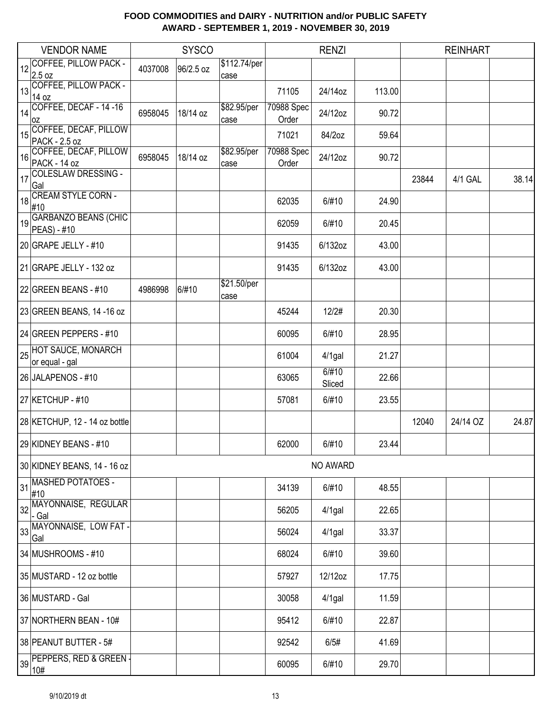|    | <b>VENDOR NAME</b>                          |         | <b>SYSCO</b> |                      |                     | <b>RENZI</b>    |        |       | <b>REINHART</b> |       |
|----|---------------------------------------------|---------|--------------|----------------------|---------------------|-----------------|--------|-------|-----------------|-------|
| 12 | <b>COFFEE, PILLOW PACK -</b><br>2.5 oz      | 4037008 | 96/2.5 oz    | \$112.74/per<br>case |                     |                 |        |       |                 |       |
| 13 | COFFEE, PILLOW PACK -<br>14 oz              |         |              |                      | 71105               | 24/14oz         | 113.00 |       |                 |       |
| 14 | COFFEE, DECAF - 14 -16<br>0Z                | 6958045 | 18/14 oz     | \$82.95/per<br>case  | 70988 Spec<br>Order | 24/12oz         | 90.72  |       |                 |       |
| 15 | COFFEE, DECAF, PILLOW<br>PACK - 2.5 oz      |         |              |                      | 71021               | 84/2oz          | 59.64  |       |                 |       |
| 16 | COFFEE, DECAF, PILLOW<br>PACK - 14 oz       | 6958045 | 18/14 oz     | \$82.95/per<br>case  | 70988 Spec<br>Order | 24/12oz         | 90.72  |       |                 |       |
| 17 | <b>COLESLAW DRESSING -</b><br>Gal           |         |              |                      |                     |                 |        | 23844 | 4/1 GAL         | 38.14 |
| 18 | <b>CREAM STYLE CORN -</b><br>#10            |         |              |                      | 62035               | 6/#10           | 24.90  |       |                 |       |
| 19 | <b>GARBANZO BEANS (CHIC</b><br>PEAS) - #10  |         |              |                      | 62059               | 6/#10           | 20.45  |       |                 |       |
|    | 20 GRAPE JELLY - #10                        |         |              |                      | 91435               | 6/132oz         | 43.00  |       |                 |       |
|    | 21 GRAPE JELLY - 132 oz                     |         |              |                      | 91435               | 6/132oz         | 43.00  |       |                 |       |
|    | 22 GREEN BEANS - #10                        | 4986998 | 6/#10        | \$21.50/per<br>case  |                     |                 |        |       |                 |       |
|    | 23 GREEN BEANS, 14 -16 oz                   |         |              |                      | 45244               | 12/2#           | 20.30  |       |                 |       |
|    | 24 GREEN PEPPERS - #10                      |         |              |                      | 60095               | 6/#10           | 28.95  |       |                 |       |
| 25 | <b>HOT SAUCE, MONARCH</b><br>or equal - gal |         |              |                      | 61004               | $4/1$ gal       | 21.27  |       |                 |       |
|    | 26 JALAPENOS - #10                          |         |              |                      | 63065               | 6/#10<br>Sliced | 22.66  |       |                 |       |
|    | 27 KETCHUP - #10                            |         |              |                      | 57081               | 6/#10           | 23.55  |       |                 |       |
|    | 28 KETCHUP, 12 - 14 oz bottle               |         |              |                      |                     |                 |        | 12040 | 24/14 OZ        | 24.87 |
|    | 29 KIDNEY BEANS - #10                       |         |              |                      | 62000               | 6/#10           | 23.44  |       |                 |       |
|    | 30 KIDNEY BEANS, 14 - 16 oz                 |         |              |                      |                     | NO AWARD        |        |       |                 |       |
| 31 | <b>MASHED POTATOES -</b><br>#10             |         |              |                      | 34139               | 6/#10           | 48.55  |       |                 |       |
|    | 32 MAYONNAISE, REGULAR<br>- Gal             |         |              |                      | 56205               | $4/1$ gal       | 22.65  |       |                 |       |
|    | 33 MAYONNAISE, LOW FAT-<br>Gal              |         |              |                      | 56024               | $4/1$ gal       | 33.37  |       |                 |       |
|    | 34 MUSHROOMS - #10                          |         |              |                      | 68024               | 6/#10           | 39.60  |       |                 |       |
|    | 35 MUSTARD - 12 oz bottle                   |         |              |                      | 57927               | 12/12oz         | 17.75  |       |                 |       |
|    | 36 MUSTARD - Gal                            |         |              |                      | 30058               | $4/1$ gal       | 11.59  |       |                 |       |
|    | 37 NORTHERN BEAN - 10#                      |         |              |                      | 95412               | 6/#10           | 22.87  |       |                 |       |
|    | 38 PEANUT BUTTER - 5#                       |         |              |                      | 92542               | 6/5#            | 41.69  |       |                 |       |
| 39 | PEPPERS, RED & GREEN -<br>10#               |         |              |                      | 60095               | 6/#10           | 29.70  |       |                 |       |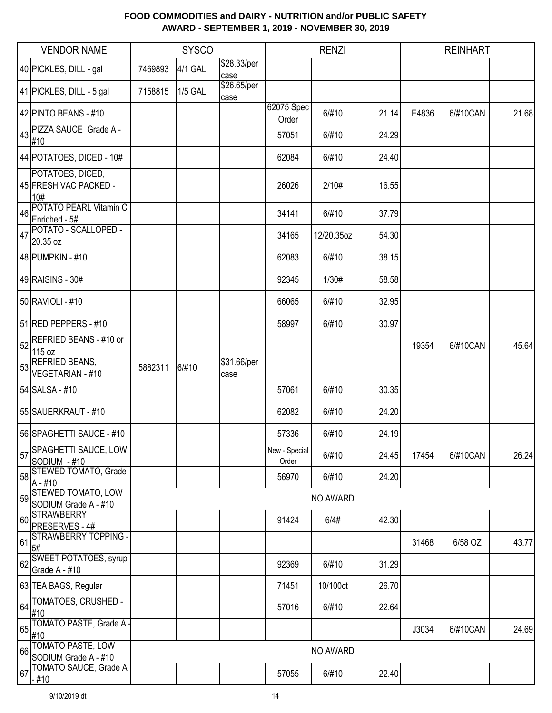|    | <b>VENDOR NAME</b>                                |         | <b>SYSCO</b>   |                     |                        | <b>RENZI</b> |       | <b>REINHART</b> |          |       |
|----|---------------------------------------------------|---------|----------------|---------------------|------------------------|--------------|-------|-----------------|----------|-------|
|    | 40 PICKLES, DILL - gal                            | 7469893 | 4/1 GAL        | \$28.33/per<br>case |                        |              |       |                 |          |       |
|    | 41 PICKLES, DILL - 5 gal                          | 7158815 | <b>1/5 GAL</b> | \$26.65/per<br>case |                        |              |       |                 |          |       |
|    | 42 PINTO BEANS - #10                              |         |                |                     | 62075 Spec<br>Order    | 6/#10        | 21.14 | E4836           | 6/#10CAN | 21.68 |
| 43 | PIZZA SAUCE Grade A -<br>#10                      |         |                |                     | 57051                  | 6/#10        | 24.29 |                 |          |       |
|    | 44 POTATOES, DICED - 10#                          |         |                |                     | 62084                  | 6/#10        | 24.40 |                 |          |       |
|    | POTATOES, DICED,<br>45 FRESH VAC PACKED -<br>10#  |         |                |                     | 26026                  | 2/10#        | 16.55 |                 |          |       |
| 46 | POTATO PEARL Vitamin C<br>Enriched - 5#           |         |                |                     | 34141                  | 6/#10        | 37.79 |                 |          |       |
| 47 | POTATO - SCALLOPED -<br>20.35 oz                  |         |                |                     | 34165                  | 12/20.35oz   | 54.30 |                 |          |       |
|    | 48 PUMPKIN - #10                                  |         |                |                     | 62083                  | 6/#10        | 38.15 |                 |          |       |
|    | 49 RAISINS - 30#                                  |         |                |                     | 92345                  | 1/30#        | 58.58 |                 |          |       |
|    | 50 RAVIOLI - #10                                  |         |                |                     | 66065                  | 6/#10        | 32.95 |                 |          |       |
|    | 51 RED PEPPERS - #10                              |         |                |                     | 58997                  | 6/#10        | 30.97 |                 |          |       |
| 52 | <b>REFRIED BEANS - #10 or</b><br>115 oz           |         |                |                     |                        |              |       | 19354           | 6/#10CAN | 45.64 |
| 53 | <b>REFRIED BEANS,</b><br><b>VEGETARIAN - #10</b>  | 5882311 | 6/#10          | \$31.66/per<br>case |                        |              |       |                 |          |       |
|    | 54 SALSA - #10                                    |         |                |                     | 57061                  | 6/#10        | 30.35 |                 |          |       |
|    | 55 SAUERKRAUT - #10                               |         |                |                     | 62082                  | 6/#10        | 24.20 |                 |          |       |
|    | 56 SPAGHETTI SAUCE - #10                          |         |                |                     | 57336                  | 6/#10        | 24.19 |                 |          |       |
| 57 | <b>SPAGHETTI SAUCE, LOW</b><br>SODIUM - #10       |         |                |                     | New - Special<br>Order | 6/#10        | 24.45 | 17454           | 6/#10CAN | 26.24 |
| 58 | <b>STEWED TOMATO, Grade</b><br>$A - #10$          |         |                |                     | 56970                  | 6/#10        | 24.20 |                 |          |       |
| 59 | <b>STEWED TOMATO, LOW</b><br>SODIUM Grade A - #10 |         |                |                     |                        | NO AWARD     |       |                 |          |       |
|    | 60 STRAWBERRY<br>PRESERVES - 4#                   |         |                |                     | 91424                  | 6/4#         | 42.30 |                 |          |       |
| 61 | <b>STRAWBERRY TOPPING -</b><br>5#                 |         |                |                     |                        |              |       | 31468           | 6/58 OZ  | 43.77 |
| 62 | <b>SWEET POTATOES, syrup</b><br>Grade A - #10     |         |                |                     | 92369                  | 6/#10        | 31.29 |                 |          |       |
|    | 63 TEA BAGS, Regular                              |         |                |                     | 71451                  | 10/100ct     | 26.70 |                 |          |       |
| 64 | TOMATOES, CRUSHED -<br>#10                        |         |                |                     | 57016                  | 6/#10        | 22.64 |                 |          |       |
| 65 | TOMATO PASTE, Grade A -<br>#10                    |         |                |                     |                        |              |       | J3034           | 6/#10CAN | 24.69 |
| 66 | <b>TOMATO PASTE, LOW</b><br>SODIUM Grade A - #10  |         |                |                     |                        | NO AWARD     |       |                 |          |       |
| 67 | <b>TOMATO SAUCE, Grade A</b><br>- #10             |         |                |                     | 57055                  | 6/#10        | 22.40 |                 |          |       |
|    |                                                   |         |                |                     |                        |              |       |                 |          |       |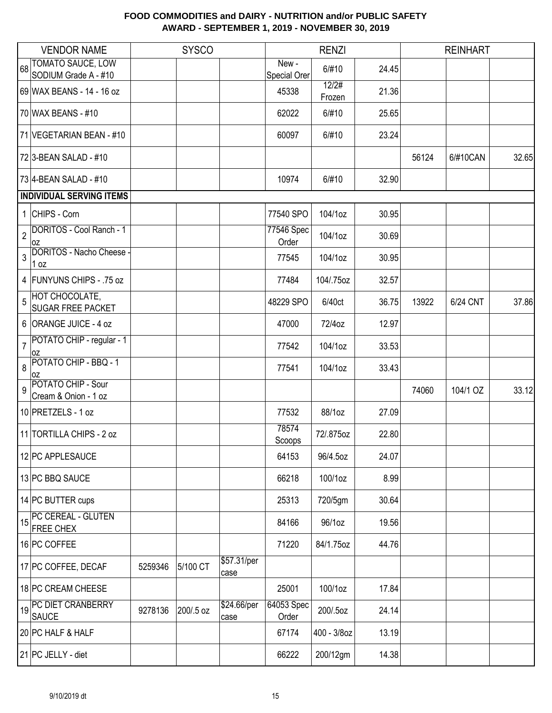|                | <b>VENDOR NAME</b>                                |         | <b>SYSCO</b> |                     |                       | <b>RENZI</b>    |       |       | <b>REINHART</b> |       |
|----------------|---------------------------------------------------|---------|--------------|---------------------|-----------------------|-----------------|-------|-------|-----------------|-------|
| 68             | TOMATO SAUCE, LOW<br>SODIUM Grade A - #10         |         |              |                     | New -<br>Special Orer | 6/#10           | 24.45 |       |                 |       |
|                | 69 WAX BEANS - 14 - 16 oz                         |         |              |                     | 45338                 | 12/2#<br>Frozen | 21.36 |       |                 |       |
|                | 70 WAX BEANS - #10                                |         |              |                     | 62022                 | 6/#10           | 25.65 |       |                 |       |
|                | 71 VEGETARIAN BEAN - #10                          |         |              |                     | 60097                 | 6/#10           | 23.24 |       |                 |       |
|                | 72 3-BEAN SALAD - #10                             |         |              |                     |                       |                 |       | 56124 | 6/#10CAN        | 32.65 |
|                | 73 4-BEAN SALAD - #10                             |         |              |                     | 10974                 | 6/#10           | 32.90 |       |                 |       |
|                | <b>INDIVIDUAL SERVING ITEMS</b>                   |         |              |                     |                       |                 |       |       |                 |       |
|                | 1 CHIPS - Corn                                    |         |              |                     | 77540 SPO             | 104/1oz         | 30.95 |       |                 |       |
| $\overline{2}$ | DORITOS - Cool Ranch - 1<br>0Z                    |         |              |                     | 77546 Spec<br>Order   | 104/1oz         | 30.69 |       |                 |       |
| 3              | DORITOS - Nacho Cheese -<br>1 oz                  |         |              |                     | 77545                 | 104/1oz         | 30.95 |       |                 |       |
|                | 4 FUNYUNS CHIPS - .75 oz                          |         |              |                     | 77484                 | 104/.75oz       | 32.57 |       |                 |       |
| 5              | <b>HOT CHOCOLATE,</b><br><b>SUGAR FREE PACKET</b> |         |              |                     | 48229 SPO             | 6/40ct          | 36.75 | 13922 | 6/24 CNT        | 37.86 |
|                | 6 ORANGE JUICE - 4 oz                             |         |              |                     | 47000                 | 72/4oz          | 12.97 |       |                 |       |
| $\overline{7}$ | POTATO CHIP - regular - 1<br>l OZ                 |         |              |                     | 77542                 | 104/1oz         | 33.53 |       |                 |       |
| 8              | POTATO CHIP - BBQ - 1<br>OZ                       |         |              |                     | 77541                 | 104/1oz         | 33.43 |       |                 |       |
| 9              | POTATO CHIP - Sour<br>Cream & Onion - 1 oz        |         |              |                     |                       |                 |       | 74060 | 104/1 OZ        | 33.12 |
|                | 10 PRETZELS - 1 oz                                |         |              |                     | 77532                 | 88/1oz          | 27.09 |       |                 |       |
|                | 11 TORTILLA CHIPS - 2 oz                          |         |              |                     | 78574<br>Scoops       | 72/.875oz       | 22.80 |       |                 |       |
|                | 12 PC APPLESAUCE                                  |         |              |                     | 64153                 | 96/4.5oz        | 24.07 |       |                 |       |
|                | 13 PC BBQ SAUCE                                   |         |              |                     | 66218                 | 100/1oz         | 8.99  |       |                 |       |
|                | 14 PC BUTTER cups                                 |         |              |                     | 25313                 | 720/5gm         | 30.64 |       |                 |       |
| 15             | PC CEREAL - GLUTEN<br><b>FREE CHEX</b>            |         |              |                     | 84166                 | 96/1oz          | 19.56 |       |                 |       |
|                | 16 PC COFFEE                                      |         |              |                     | 71220                 | 84/1.75oz       | 44.76 |       |                 |       |
|                | 17 PC COFFEE, DECAF                               | 5259346 | 5/100 CT     | \$57.31/per<br>case |                       |                 |       |       |                 |       |
|                | 18 PC CREAM CHEESE                                |         |              |                     | 25001                 | 100/1oz         | 17.84 |       |                 |       |
|                | PC DIET CRANBERRY<br><b>SAUCE</b>                 | 9278136 | 200/.5 oz    | \$24.66/per<br>case | 64053 Spec<br>Order   | 200/.5oz        | 24.14 |       |                 |       |
|                | 20 PC HALF & HALF                                 |         |              |                     | 67174                 | 400 - 3/8oz     | 13.19 |       |                 |       |
|                | 21 PC JELLY - diet                                |         |              |                     | 66222                 | 200/12gm        | 14.38 |       |                 |       |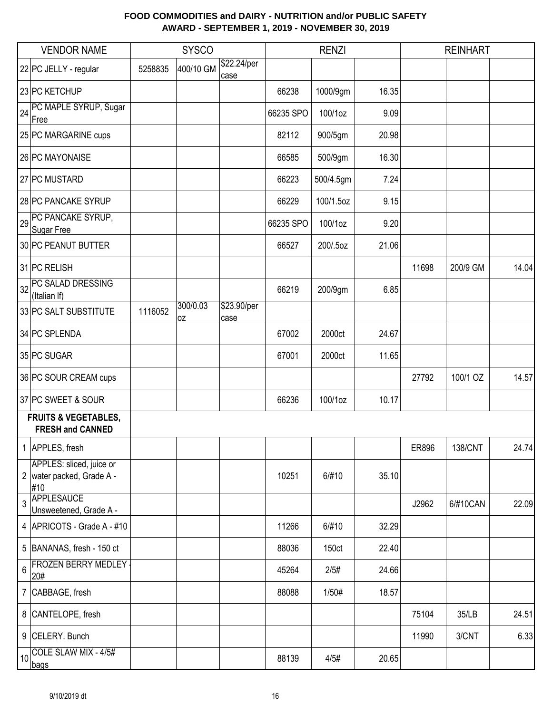|                 | <b>VENDOR NAME</b>                                           |         | <b>SYSCO</b>   |                     |           | <b>RENZI</b> |       |       | <b>REINHART</b> |       |
|-----------------|--------------------------------------------------------------|---------|----------------|---------------------|-----------|--------------|-------|-------|-----------------|-------|
|                 | 22 PC JELLY - regular                                        | 5258835 | 400/10 GM      | \$22.24/per<br>case |           |              |       |       |                 |       |
|                 | 23 PC KETCHUP                                                |         |                |                     | 66238     | 1000/9gm     | 16.35 |       |                 |       |
| 24              | PC MAPLE SYRUP, Sugar<br>Free                                |         |                |                     | 66235 SPO | 100/1oz      | 9.09  |       |                 |       |
|                 | 25 PC MARGARINE cups                                         |         |                |                     | 82112     | 900/5gm      | 20.98 |       |                 |       |
|                 | 26 PC MAYONAISE                                              |         |                |                     | 66585     | 500/9gm      | 16.30 |       |                 |       |
|                 | 27 PC MUSTARD                                                |         |                |                     | 66223     | 500/4.5gm    | 7.24  |       |                 |       |
|                 | 28 PC PANCAKE SYRUP                                          |         |                |                     | 66229     | 100/1.5oz    | 9.15  |       |                 |       |
| 29              | PC PANCAKE SYRUP,<br>Sugar Free                              |         |                |                     | 66235 SPO | 100/1oz      | 9.20  |       |                 |       |
|                 | 30 PC PEANUT BUTTER                                          |         |                |                     | 66527     | 200/.5oz     | 21.06 |       |                 |       |
|                 | 31 PC RELISH                                                 |         |                |                     |           |              |       | 11698 | 200/9 GM        | 14.04 |
| 32              | PC SALAD DRESSING<br>(Italian If)                            |         |                |                     | 66219     | 200/9gm      | 6.85  |       |                 |       |
|                 | 33 PC SALT SUBSTITUTE                                        | 1116052 | 300/0.03<br>0Z | \$23.90/per<br>case |           |              |       |       |                 |       |
|                 | 34 PC SPLENDA                                                |         |                |                     | 67002     | 2000ct       | 24.67 |       |                 |       |
|                 | 35 PC SUGAR                                                  |         |                |                     | 67001     | 2000ct       | 11.65 |       |                 |       |
|                 | 36 PC SOUR CREAM cups                                        |         |                |                     |           |              |       | 27792 | 100/1 OZ        | 14.57 |
|                 | 37 PC SWEET & SOUR                                           |         |                |                     | 66236     | 100/1oz      | 10.17 |       |                 |       |
|                 | <b>FRUITS &amp; VEGETABLES,</b><br><b>FRESH and CANNED</b>   |         |                |                     |           |              |       |       |                 |       |
|                 | 1 APPLES, fresh                                              |         |                |                     |           |              |       | ER896 | 138/CNT         | 24.74 |
|                 | APPLES: sliced, juice or<br>2 water packed, Grade A -<br>#10 |         |                |                     | 10251     | 6/#10        | 35.10 |       |                 |       |
| 3               | APPLESAUCE<br>Unsweetened, Grade A -                         |         |                |                     |           |              |       | J2962 | 6/#10CAN        | 22.09 |
|                 | 4 APRICOTS - Grade A - #10                                   |         |                |                     | 11266     | 6/#10        | 32.29 |       |                 |       |
|                 | 5 BANANAS, fresh - 150 ct                                    |         |                |                     | 88036     | 150ct        | 22.40 |       |                 |       |
| 6               | <b>FROZEN BERRY MEDLEY -</b><br>20#                          |         |                |                     | 45264     | 2/5#         | 24.66 |       |                 |       |
|                 | 7 CABBAGE, fresh                                             |         |                |                     | 88088     | 1/50#        | 18.57 |       |                 |       |
|                 | 8 CANTELOPE, fresh                                           |         |                |                     |           |              |       | 75104 | 35/LB           | 24.51 |
|                 | 9 CELERY. Bunch                                              |         |                |                     |           |              |       | 11990 | 3/CNT           | 6.33  |
| 10 <sup>1</sup> | COLE SLAW MIX - 4/5#<br>bags                                 |         |                |                     | 88139     | 4/5#         | 20.65 |       |                 |       |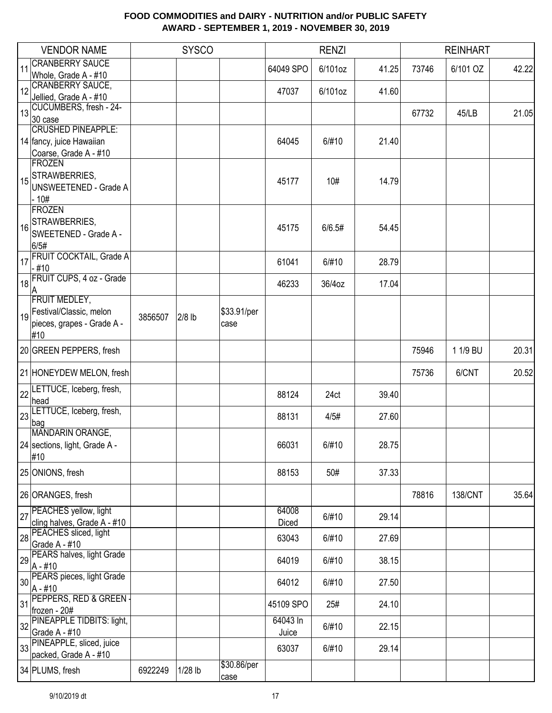|    | <b>VENDOR NAME</b>                               |         | <b>SYSCO</b> |                     |           | <b>RENZI</b> |       |       | <b>REINHART</b> |       |
|----|--------------------------------------------------|---------|--------------|---------------------|-----------|--------------|-------|-------|-----------------|-------|
| 11 | <b>CRANBERRY SAUCE</b><br>Whole, Grade A - #10   |         |              |                     | 64049 SPO | 6/101oz      | 41.25 | 73746 | 6/101 OZ        | 42.22 |
| 12 | <b>CRANBERRY SAUCE,</b>                          |         |              |                     | 47037     | 6/101oz      | 41.60 |       |                 |       |
|    | Jellied, Grade A - #10                           |         |              |                     |           |              |       |       |                 |       |
| 13 | CUCUMBERS, fresh - 24-<br>30 case                |         |              |                     |           |              |       | 67732 | 45/LB           | 21.05 |
|    | <b>CRUSHED PINEAPPLE:</b>                        |         |              |                     |           |              |       |       |                 |       |
|    | 14 fancy, juice Hawaiian                         |         |              |                     | 64045     | 6/#10        | 21.40 |       |                 |       |
|    | Coarse, Grade A - #10                            |         |              |                     |           |              |       |       |                 |       |
|    | <b>FROZEN</b>                                    |         |              |                     |           |              |       |       |                 |       |
|    | 15 STRAWBERRIES,<br><b>UNSWEETENED - Grade A</b> |         |              |                     | 45177     | 10#          | 14.79 |       |                 |       |
|    | $-10#$                                           |         |              |                     |           |              |       |       |                 |       |
|    | <b>FROZEN</b>                                    |         |              |                     |           |              |       |       |                 |       |
|    | STRAWBERRIES,                                    |         |              |                     |           |              |       |       |                 |       |
| 16 | SWEETENED - Grade A -                            |         |              |                     | 45175     | 6/6.5#       | 54.45 |       |                 |       |
|    | 6/5#                                             |         |              |                     |           |              |       |       |                 |       |
| 17 | <b>FRUIT COCKTAIL, Grade A</b>                   |         |              |                     | 61041     | 6/#10        | 28.79 |       |                 |       |
|    | - #10<br>18 FRUIT CUPS, 4 oz - Grade             |         |              |                     |           |              |       |       |                 |       |
|    |                                                  |         |              |                     | 46233     | 36/4oz       | 17.04 |       |                 |       |
|    | <b>FRUIT MEDLEY,</b>                             |         |              |                     |           |              |       |       |                 |       |
|    | 19 Festival/Classic, melon                       | 3856507 | $2/8$ lb     | \$33.91/per         |           |              |       |       |                 |       |
|    | pieces, grapes - Grade A -                       |         |              | case                |           |              |       |       |                 |       |
|    | #10                                              |         |              |                     |           |              |       |       |                 |       |
|    | 20 GREEN PEPPERS, fresh                          |         |              |                     |           |              |       | 75946 | 1 1/9 BU        | 20.31 |
|    | 21 HONEYDEW MELON, fresh                         |         |              |                     |           |              |       | 75736 | 6/CNT           | 20.52 |
|    | 22 LETTUCE, Iceberg, fresh,<br>head              |         |              |                     | 88124     | 24ct         | 39.40 |       |                 |       |
|    | LETTUCE, Iceberg, fresh,                         |         |              |                     |           |              |       |       |                 |       |
| 23 | bag                                              |         |              |                     | 88131     | 4/5#         | 27.60 |       |                 |       |
|    | MANDARIN ORANGE,                                 |         |              |                     |           |              |       |       |                 |       |
|    | 24 sections, light, Grade A -                    |         |              |                     | 66031     | 6/#10        | 28.75 |       |                 |       |
|    | #10                                              |         |              |                     |           |              |       |       |                 |       |
|    | 25 ONIONS, fresh                                 |         |              |                     | 88153     | 50#          | 37.33 |       |                 |       |
|    | 26 ORANGES, fresh                                |         |              |                     |           |              |       | 78816 | <b>138/CNT</b>  | 35.64 |
|    | 27 PEACHES yellow, light                         |         |              |                     | 64008     |              |       |       |                 |       |
|    | cling halves, Grade A - #10                      |         |              |                     | Diced     | 6/#10        | 29.14 |       |                 |       |
|    | 28 PEACHES sliced, light                         |         |              |                     | 63043     | 6/#10        | 27.69 |       |                 |       |
|    | Grade A - #10                                    |         |              |                     |           |              |       |       |                 |       |
|    | 29 PEARS halves, light Grade<br>$A - #10$        |         |              |                     | 64019     | 6/#10        | 38.15 |       |                 |       |
|    | 30 PEARS pieces, light Grade                     |         |              |                     | 64012     | 6/#10        | 27.50 |       |                 |       |
|    | A - #10                                          |         |              |                     |           |              |       |       |                 |       |
| 31 | PEPPERS, RED & GREEN -                           |         |              |                     | 45109 SPO | 25#          | 24.10 |       |                 |       |
|    | frozen - 20#<br>PINEAPPLE TIDBITS: light,        |         |              |                     | 64043 In  |              |       |       |                 |       |
| 32 | Grade A - #10                                    |         |              |                     | Juice     | 6/#10        | 22.15 |       |                 |       |
|    | 33 PINEAPPLE, sliced, juice                      |         |              |                     |           |              |       |       |                 |       |
|    | packed, Grade A - #10                            |         |              |                     | 63037     | 6/#10        | 29.14 |       |                 |       |
|    | 34 PLUMS, fresh                                  | 6922249 | $1/28$ lb    | \$30.86/per<br>case |           |              |       |       |                 |       |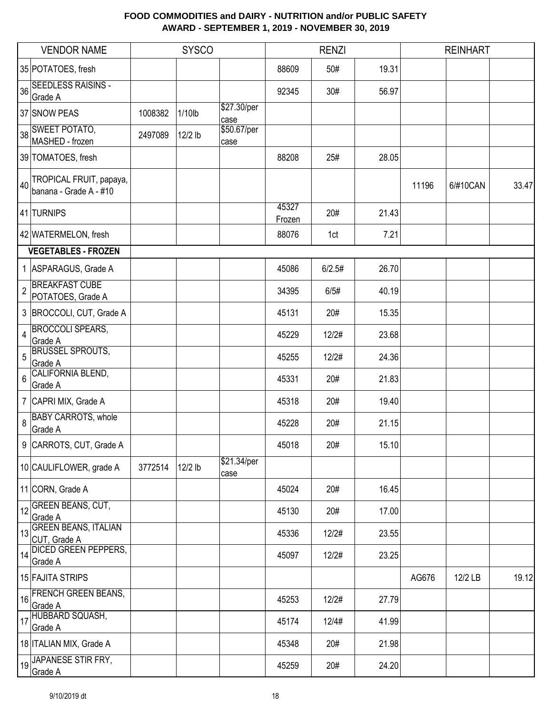|                | <b>VENDOR NAME</b>                                |         | <b>SYSCO</b> |                     |                 | <b>RENZI</b> |       |       | <b>REINHART</b> |       |
|----------------|---------------------------------------------------|---------|--------------|---------------------|-----------------|--------------|-------|-------|-----------------|-------|
|                | 35 POTATOES, fresh                                |         |              |                     | 88609           | 50#          | 19.31 |       |                 |       |
|                | 36 SEEDLESS RAISINS -<br>Grade A                  |         |              |                     | 92345           | 30#          | 56.97 |       |                 |       |
|                | 37 SNOW PEAS                                      | 1008382 | $1/10$ lb    | \$27.30/per<br>case |                 |              |       |       |                 |       |
|                | 38 SWEET POTATO,<br>MASHED - frozen               | 2497089 | 12/2 lb      | \$50.67/per<br>case |                 |              |       |       |                 |       |
|                | 39 TOMATOES, fresh                                |         |              |                     | 88208           | 25#          | 28.05 |       |                 |       |
| 40             | TROPICAL FRUIT, papaya,<br>banana - Grade A - #10 |         |              |                     |                 |              |       | 11196 | 6/#10CAN        | 33.47 |
|                | 41 TURNIPS                                        |         |              |                     | 45327<br>Frozen | 20#          | 21.43 |       |                 |       |
|                | 42 WATERMELON, fresh                              |         |              |                     | 88076           | 1ct          | 7.21  |       |                 |       |
|                | <b>VEGETABLES - FROZEN</b>                        |         |              |                     |                 |              |       |       |                 |       |
|                | 1 ASPARAGUS, Grade A                              |         |              |                     | 45086           | 6/2.5#       | 26.70 |       |                 |       |
| $\overline{2}$ | <b>BREAKFAST CUBE</b><br>POTATOES, Grade A        |         |              |                     | 34395           | 6/5#         | 40.19 |       |                 |       |
|                | 3 BROCCOLI, CUT, Grade A                          |         |              |                     | 45131           | 20#          | 15.35 |       |                 |       |
| $\overline{4}$ | <b>BROCCOLI SPEARS,</b><br>Grade A                |         |              |                     | 45229           | 12/2#        | 23.68 |       |                 |       |
| 5              | <b>BRUSSEL SPROUTS,</b><br>Grade A                |         |              |                     | 45255           | 12/2#        | 24.36 |       |                 |       |
| 6              | CALIFORNIA BLEND,<br>Grade A                      |         |              |                     | 45331           | 20#          | 21.83 |       |                 |       |
|                | 7 CAPRI MIX, Grade A                              |         |              |                     | 45318           | 20#          | 19.40 |       |                 |       |
| 8              | <b>BABY CARROTS, whole</b><br>Grade A             |         |              |                     | 45228           | 20#          | 21.15 |       |                 |       |
|                | 9 CARROTS, CUT, Grade A                           |         |              |                     | 45018           | 20#          | 15.10 |       |                 |       |
|                | 10 CAULIFLOWER, grade A                           | 3772514 | $12/2$ lb    | \$21.34/per<br>case |                 |              |       |       |                 |       |
|                | 11 CORN, Grade A                                  |         |              |                     | 45024           | 20#          | 16.45 |       |                 |       |
|                | 12 GREEN BEANS, CUT,<br>Grade A                   |         |              |                     | 45130           | 20#          | 17.00 |       |                 |       |
| 13             | <b>GREEN BEANS, ITALIAN</b><br>CUT, Grade A       |         |              |                     | 45336           | 12/2#        | 23.55 |       |                 |       |
| 14             | <b>DICED GREEN PEPPERS,</b><br>Grade A            |         |              |                     | 45097           | 12/2#        | 23.25 |       |                 |       |
|                | 15 FAJITA STRIPS                                  |         |              |                     |                 |              |       | AG676 | 12/2 LB         | 19.12 |
| 16             | <b>FRENCH GREEN BEANS,</b><br>Grade A             |         |              |                     | 45253           | 12/2#        | 27.79 |       |                 |       |
| 17             | HUBBARD SQUASH,<br>Grade A                        |         |              |                     | 45174           | 12/4#        | 41.99 |       |                 |       |
|                | 18 ITALIAN MIX, Grade A                           |         |              |                     | 45348           | 20#          | 21.98 |       |                 |       |
|                | 19 JAPANESE STIR FRY,<br>Grade A                  |         |              |                     | 45259           | 20#          | 24.20 |       |                 |       |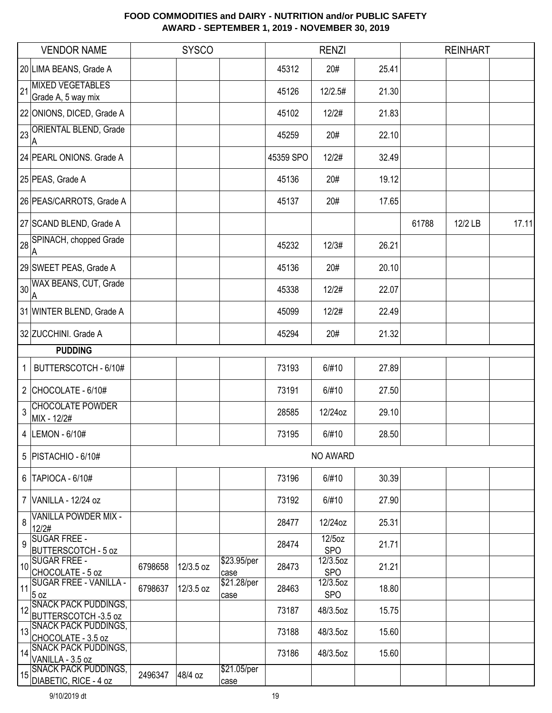|    | <b>VENDOR NAME</b>                                   |         | <b>SYSCO</b> |                     |           | <b>RENZI</b>            |       |       | <b>REINHART</b> |       |
|----|------------------------------------------------------|---------|--------------|---------------------|-----------|-------------------------|-------|-------|-----------------|-------|
|    | 20 LIMA BEANS, Grade A                               |         |              |                     | 45312     | 20#                     | 25.41 |       |                 |       |
| 21 | <b>MIXED VEGETABLES</b><br>Grade A, 5 way mix        |         |              |                     | 45126     | 12/2.5#                 | 21.30 |       |                 |       |
|    | 22 ONIONS, DICED, Grade A                            |         |              |                     | 45102     | 12/2#                   | 21.83 |       |                 |       |
| 23 | <b>ORIENTAL BLEND, Grade</b><br>ΙA                   |         |              |                     | 45259     | 20#                     | 22.10 |       |                 |       |
|    | 24 PEARL ONIONS. Grade A                             |         |              |                     | 45359 SPO | 12/2#                   | 32.49 |       |                 |       |
|    | 25 PEAS, Grade A                                     |         |              |                     | 45136     | 20#                     | 19.12 |       |                 |       |
|    | 26 PEAS/CARROTS, Grade A                             |         |              |                     | 45137     | 20#                     | 17.65 |       |                 |       |
|    | 27 SCAND BLEND, Grade A                              |         |              |                     |           |                         |       | 61788 | 12/2 LB         | 17.11 |
|    | 28 SPINACH, chopped Grade<br>ΙA                      |         |              |                     | 45232     | 12/3#                   | 26.21 |       |                 |       |
|    | 29 SWEET PEAS, Grade A                               |         |              |                     | 45136     | 20#                     | 20.10 |       |                 |       |
| 30 | WAX BEANS, CUT, Grade<br>۱A                          |         |              |                     | 45338     | 12/2#                   | 22.07 |       |                 |       |
|    | 31 WINTER BLEND, Grade A                             |         |              |                     | 45099     | 12/2#                   | 22.49 |       |                 |       |
|    | 32 ZUCCHINI. Grade A                                 |         |              |                     | 45294     | 20#                     | 21.32 |       |                 |       |
|    | <b>PUDDING</b>                                       |         |              |                     |           |                         |       |       |                 |       |
| 1  | BUTTERSCOTCH - 6/10#                                 |         |              |                     | 73193     | 6/#10                   | 27.89 |       |                 |       |
|    | 2 CHOCOLATE - $6/10#$                                |         |              |                     | 73191     | 6/#10                   | 27.50 |       |                 |       |
| 3  | <b>CHOCOLATE POWDER</b><br>MIX - 12/2#               |         |              |                     | 28585     | 12/24oz                 | 29.10 |       |                 |       |
|    | 4  LEMON - 6/10#                                     |         |              |                     | 73195     | 6/#10                   | 28.50 |       |                 |       |
|    | 5   PISTACHIO - 6/10#                                |         |              |                     |           | NO AWARD                |       |       |                 |       |
|    | $6$  TAPIOCA - $6/10#$                               |         |              |                     | 73196     | 6/#10                   | 30.39 |       |                 |       |
|    | 7 VANILLA - 12/24 oz                                 |         |              |                     | 73192     | 6/#10                   | 27.90 |       |                 |       |
| 8  | <b>VANILLA POWDER MIX -</b><br>12/2#                 |         |              |                     | 28477     | 12/24oz                 | 25.31 |       |                 |       |
| 9  | <b>SUGAR FREE -</b><br><b>BUTTERSCOTCH - 5 oz</b>    |         |              |                     | 28474     | $12/5$ oz<br><b>SPO</b> | 21.71 |       |                 |       |
| 10 | <b>SUGAR FREE -</b><br>CHOCOLATE - 5 oz              | 6798658 | 12/3.5 oz    | \$23.95/per<br>case | 28473     | 12/3.5oz<br><b>SPO</b>  | 21.21 |       |                 |       |
| 11 | <b>SUGAR FREE - VANILLA -</b><br>5 oz                | 6798637 | 12/3.5 oz    | \$21.28/per<br>case | 28463     | 12/3.5oz<br><b>SPO</b>  | 18.80 |       |                 |       |
| 12 | <b>SNACK PACK PUDDINGS,</b><br>BUTTERSCOTCH -3.5 oz  |         |              |                     | 73187     | 48/3.5oz                | 15.75 |       |                 |       |
| 13 | <b>SNACK PACK PUDDINGS,</b><br>CHOCOLATE - 3.5 oz    |         |              |                     | 73188     | 48/3.5oz                | 15.60 |       |                 |       |
| 14 | <b>SNACK PACK PUDDINGS,</b><br>VANILLA - 3.5 oz      |         |              |                     | 73186     | 48/3.5oz                | 15.60 |       |                 |       |
| 15 | <b>SNACK PACK PUDDINGS,</b><br>DIABETIC, RICE - 4 oz | 2496347 | 48/4 oz      | \$21.05/per<br>case |           |                         |       |       |                 |       |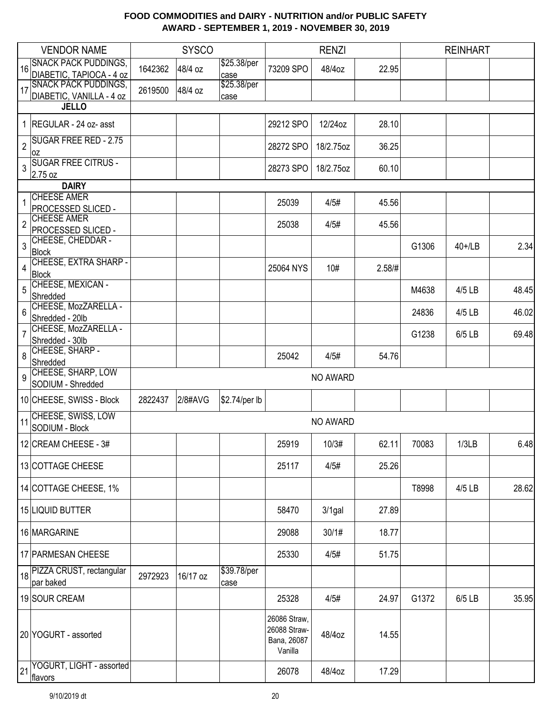|                | <b>VENDOR NAME</b>                                      |         | <b>SYSCO</b> |                     |                                                        | <b>RENZI</b> |        |       | <b>REINHART</b> |       |
|----------------|---------------------------------------------------------|---------|--------------|---------------------|--------------------------------------------------------|--------------|--------|-------|-----------------|-------|
| 16             | <b>SNACK PACK PUDDINGS,</b><br>DIABETIC, TAPIOCA - 4 oz | 1642362 | 48/4 oz      | \$25.38/per<br>case | 73209 SPO                                              | 48/4oz       | 22.95  |       |                 |       |
| 17             | <b>SNACK PACK PUDDINGS,</b>                             | 2619500 | 48/4 oz      | \$25.38/per         |                                                        |              |        |       |                 |       |
|                | DIABETIC, VANILLA - 4 oz<br><b>JELLO</b>                |         |              | case                |                                                        |              |        |       |                 |       |
|                |                                                         |         |              |                     |                                                        |              | 28.10  |       |                 |       |
|                | 1 REGULAR - 24 oz- asst                                 |         |              |                     | 29212 SPO                                              | 12/24oz      |        |       |                 |       |
| $\overline{2}$ | <b>SUGAR FREE RED - 2.75</b><br>0Z                      |         |              |                     | 28272 SPO                                              | 18/2.75oz    | 36.25  |       |                 |       |
| 3              | <b>SUGAR FREE CITRUS -</b><br>2.75 oz                   |         |              |                     | 28273 SPO                                              | 18/2.75oz    | 60.10  |       |                 |       |
|                | <b>DAIRY</b>                                            |         |              |                     |                                                        |              |        |       |                 |       |
| $\mathbf{1}$   | <b>CHEESE AMER</b><br>PROCESSED SLICED -                |         |              |                     | 25039                                                  | 4/5#         | 45.56  |       |                 |       |
| $\overline{2}$ | <b>CHEESE AMER</b>                                      |         |              |                     | 25038                                                  | 4/5#         | 45.56  |       |                 |       |
|                | PROCESSED SLICED -<br>CHEESE, CHEDDAR -                 |         |              |                     |                                                        |              |        |       |                 |       |
| 3              | <b>Block</b>                                            |         |              |                     |                                                        |              |        | G1306 | $40+1$ LB       | 2.34  |
| 4              | CHEESE, EXTRA SHARP -<br><b>Block</b>                   |         |              |                     | 25064 NYS                                              | 10#          | 2.58/H |       |                 |       |
| 5              | CHEESE, MEXICAN -<br>Shredded                           |         |              |                     |                                                        |              |        | M4638 | $4/5$ LB        | 48.45 |
| 6              | CHEESE, MozZARELLA -                                    |         |              |                     |                                                        |              |        |       |                 |       |
|                | Shredded - 20lb                                         |         |              |                     |                                                        |              |        | 24836 | 4/5 LB          | 46.02 |
| 7              | CHEESE, MozZARELLA -<br>Shredded - 30lb                 |         |              |                     |                                                        |              |        | G1238 | 6/5 LB          | 69.48 |
|                | CHEESE, SHARP -                                         |         |              |                     |                                                        |              |        |       |                 |       |
| 8              | Shredded                                                |         |              |                     | 25042                                                  | 4/5#         | 54.76  |       |                 |       |
| 9              | CHEESE, SHARP, LOW<br>SODIUM - Shredded                 |         |              |                     |                                                        | NO AWARD     |        |       |                 |       |
|                | 10 CHEESE, SWISS - Block                                | 2822437 | 2/8#AVG      | \$2.74/per lb       |                                                        |              |        |       |                 |       |
| 11             | <b>CHEESE, SWISS, LOW</b>                               |         |              |                     |                                                        | NO AWARD     |        |       |                 |       |
|                | SODIUM - Block                                          |         |              |                     |                                                        |              |        |       |                 |       |
|                | 12 CREAM CHEESE - 3#                                    |         |              |                     | 25919                                                  | 10/3#        | 62.11  | 70083 | 1/3LB           | 6.48  |
|                | 13 COTTAGE CHEESE                                       |         |              |                     | 25117                                                  | 4/5#         | 25.26  |       |                 |       |
|                | 14 COTTAGE CHEESE, 1%                                   |         |              |                     |                                                        |              |        | T8998 | 4/5 LB          | 28.62 |
|                | 15 LIQUID BUTTER                                        |         |              |                     | 58470                                                  | $3/1$ gal    | 27.89  |       |                 |       |
|                | 16 MARGARINE                                            |         |              |                     | 29088                                                  | 30/1#        | 18.77  |       |                 |       |
|                | 17 PARMESAN CHEESE                                      |         |              |                     | 25330                                                  | 4/5#         | 51.75  |       |                 |       |
|                | 18 PIZZA CRUST, rectangular                             | 2972923 | 16/17 oz     | \$39.78/per         |                                                        |              |        |       |                 |       |
|                | par baked<br>19 SOUR CREAM                              |         |              | case                | 25328                                                  | 4/5#         | 24.97  | G1372 | 6/5 LB          | 35.95 |
|                |                                                         |         |              |                     |                                                        |              |        |       |                 |       |
|                | 20 YOGURT - assorted                                    |         |              |                     | 26086 Straw,<br>26088 Straw-<br>Bana, 26087<br>Vanilla | 48/4oz       | 14.55  |       |                 |       |
| 21             | YOGURT, LIGHT - assorted<br>flavors                     |         |              |                     | 26078                                                  | 48/4oz       | 17.29  |       |                 |       |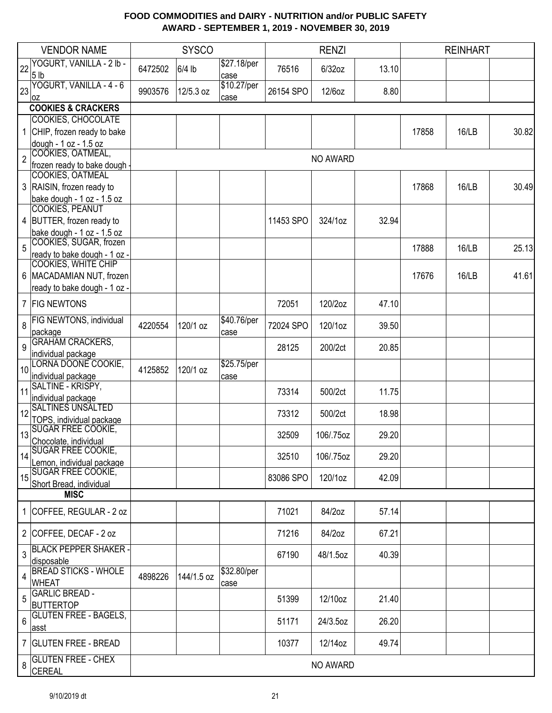|                | <b>VENDOR NAME</b>                                   |         | <b>SYSCO</b> |                     |           | <b>RENZI</b> |       |       | <b>REINHART</b> |       |
|----------------|------------------------------------------------------|---------|--------------|---------------------|-----------|--------------|-------|-------|-----------------|-------|
| 22             | YOGURT, VANILLA - 2 lb -<br>5 <sub>lb</sub>          | 6472502 | $6/4$ lb     | \$27.18/per<br>case | 76516     | 6/32oz       | 13.10 |       |                 |       |
| 23             | YOGURT, VANILLA - 4 - 6<br>loz                       | 9903576 | 12/5.3 oz    | \$10.27/per<br>case | 26154 SPO | 12/6oz       | 8.80  |       |                 |       |
|                | <b>COOKIES &amp; CRACKERS</b>                        |         |              |                     |           |              |       |       |                 |       |
|                | COOKIES, CHOCOLATE                                   |         |              |                     |           |              |       |       |                 |       |
|                | CHIP, frozen ready to bake                           |         |              |                     |           |              |       | 17858 | 16/LB           | 30.82 |
|                | dough - 1 oz - 1.5 oz<br>COOKIES, OATMEAL,           |         |              |                     |           |              |       |       |                 |       |
| $\overline{2}$ | frozen ready to bake dough -                         |         |              |                     |           | NO AWARD     |       |       |                 |       |
|                | COOKIES, OATMEAL                                     |         |              |                     |           |              |       |       |                 |       |
|                | 3 RAISIN, frozen ready to                            |         |              |                     |           |              |       | 17868 | 16/LB           | 30.49 |
|                | bake dough - 1 oz - 1.5 oz                           |         |              |                     |           |              |       |       |                 |       |
|                | <b>COOKIES, PEANUT</b>                               |         |              |                     |           |              |       |       |                 |       |
|                | 4 BUTTER, frozen ready to                            |         |              |                     | 11453 SPO | 324/1oz      | 32.94 |       |                 |       |
|                | bake dough - 1 oz - 1.5 oz<br>COOKIES, SUGAR, frozen |         |              |                     |           |              |       |       |                 |       |
| 5              | ready to bake dough - 1 oz -                         |         |              |                     |           |              |       | 17888 | 16/LB           | 25.13 |
|                | <b>COOKIES, WHITE CHIP</b>                           |         |              |                     |           |              |       |       |                 |       |
|                | 6   MACADAMIAN NUT, frozen                           |         |              |                     |           |              |       | 17676 | 16/LB           | 41.61 |
|                | ready to bake dough - 1 oz -                         |         |              |                     |           |              |       |       |                 |       |
|                | 7 FIG NEWTONS                                        |         |              |                     | 72051     | 120/2oz      | 47.10 |       |                 |       |
| 8              | FIG NEWTONS, individual<br>package                   | 4220554 | 120/1 oz     | \$40.76/per<br>case | 72024 SPO | 120/1oz      | 39.50 |       |                 |       |
| 9              | <b>GRAHAM CRACKERS,</b>                              |         |              |                     | 28125     | 200/2ct      | 20.85 |       |                 |       |
|                | individual package                                   |         |              |                     |           |              |       |       |                 |       |
| 10             | LORNA DOONE COOKIE,                                  | 4125852 | 120/1 oz     | \$25.75/per         |           |              |       |       |                 |       |
|                | individual package<br>SALTINE - KRISPY,              |         |              | case                |           |              |       |       |                 |       |
| 11             | individual package                                   |         |              |                     | 73314     | 500/2ct      | 11.75 |       |                 |       |
|                | <b>SALTINES UNSALTED</b>                             |         |              |                     |           |              |       |       |                 |       |
| 12             | TOPS, individual package                             |         |              |                     | 73312     | 500/2ct      | 18.98 |       |                 |       |
| 13             | <b>SUGAR FREE COOKIE,</b>                            |         |              |                     | 32509     | 106/.75oz    | 29.20 |       |                 |       |
|                | Chocolate, individual                                |         |              |                     |           |              |       |       |                 |       |
| 14             | SUGAR FREE COOKIE,<br>Lemon, individual package      |         |              |                     | 32510     | 106/.75oz    | 29.20 |       |                 |       |
|                | 15 SUGAR FREE COOKIE,                                |         |              |                     |           |              |       |       |                 |       |
|                | Short Bread, individual                              |         |              |                     | 83086 SPO | 120/1oz      | 42.09 |       |                 |       |
|                | <b>MISC</b>                                          |         |              |                     |           |              |       |       |                 |       |
|                | 1 COFFEE, REGULAR - 2 oz                             |         |              |                     | 71021     | 84/2oz       | 57.14 |       |                 |       |
|                | 2 COFFEE, DECAF - 2 oz                               |         |              |                     | 71216     | 84/2oz       | 67.21 |       |                 |       |
| 3              | <b>BLACK PEPPER SHAKER-</b><br>disposable            |         |              |                     | 67190     | 48/1.5oz     | 40.39 |       |                 |       |
|                | <b>BREAD STICKS - WHOLE</b>                          |         | 144/1.5 oz   | \$32.80/per         |           |              |       |       |                 |       |
| 4              | <b>WHEAT</b>                                         | 4898226 |              | case                |           |              |       |       |                 |       |
| 5              | <b>GARLIC BREAD -</b>                                |         |              |                     | 51399     | 12/10oz      | 21.40 |       |                 |       |
|                | <b>BUTTERTOP</b>                                     |         |              |                     |           |              |       |       |                 |       |
| 6              | <b>GLUTEN FREE - BAGELS,</b><br>asst                 |         |              |                     | 51171     | 24/3.5oz     | 26.20 |       |                 |       |
|                | 7 GLUTEN FREE - BREAD                                |         |              |                     | 10377     | 12/14oz      | 49.74 |       |                 |       |
| 8              | <b>GLUTEN FREE - CHEX</b><br><b>CEREAL</b>           |         |              |                     |           | NO AWARD     |       |       |                 |       |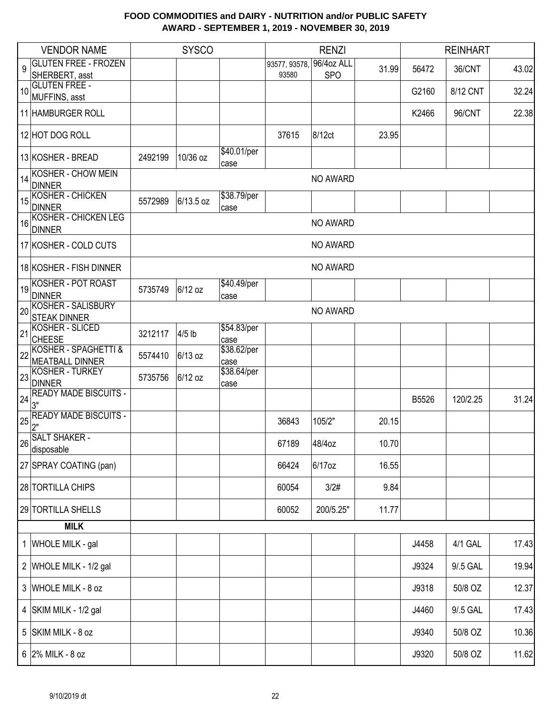|    | <b>VENDOR NAME</b>                               |         | <b>SYSCO</b> |                     |              | <b>RENZI</b> |       |       | <b>REINHART</b> |       |
|----|--------------------------------------------------|---------|--------------|---------------------|--------------|--------------|-------|-------|-----------------|-------|
| 9  | <b>GLUTEN FREE - FROZEN</b>                      |         |              |                     | 93577, 93578 | 96/4oz ALL   | 31.99 | 56472 | 36/CNT          | 43.02 |
|    | SHERBERT, asst                                   |         |              |                     | 93580        | <b>SPO</b>   |       |       |                 |       |
| 10 | <b>GLUTEN FREE -</b><br>MUFFINS, asst            |         |              |                     |              |              |       | G2160 | 8/12 CNT        | 32.24 |
|    | 11 HAMBURGER ROLL                                |         |              |                     |              |              |       | K2466 | 96/CNT          | 22.38 |
|    | 12 HOT DOG ROLL                                  |         |              |                     | 37615        | 8/12ct       | 23.95 |       |                 |       |
|    | 13 KOSHER - BREAD                                | 2492199 | 10/36 oz     | \$40.01/per<br>case |              |              |       |       |                 |       |
| 14 | <b>KOSHER - CHOW MEIN</b><br><b>DINNER</b>       |         |              |                     |              | NO AWARD     |       |       |                 |       |
| 15 | KOSHER - CHICKEN<br><b>DINNER</b>                | 5572989 | 6/13.5 oz    | \$38.79/per<br>case |              |              |       |       |                 |       |
| 16 | <b>KOSHER - CHICKEN LEG</b><br><b>DINNER</b>     |         |              |                     |              | NO AWARD     |       |       |                 |       |
|    | 17 KOSHER - COLD CUTS                            |         |              |                     |              | NO AWARD     |       |       |                 |       |
|    | 18 KOSHER - FISH DINNER                          |         |              |                     |              | NO AWARD     |       |       |                 |       |
| 19 | <b>KOSHER - POT ROAST</b><br><b>DINNER</b>       | 5735749 | 6/12 oz      | \$40.49/per<br>case |              |              |       |       |                 |       |
| 20 | <b>KOSHER - SALISBURY</b><br><b>STEAK DINNER</b> |         |              |                     |              | NO AWARD     |       |       |                 |       |
| 21 | KOSHER - SLICED<br><b>CHEESE</b>                 | 3212117 | $4/5$ lb     | \$54.83/per<br>case |              |              |       |       |                 |       |
| 22 | KOSHER - SPAGHETTI &<br><b>MEATBALL DINNER</b>   | 5574410 | 6/13 oz      | \$38.62/per<br>case |              |              |       |       |                 |       |
| 23 | KOSHER - TURKEY<br><b>DINNER</b>                 | 5735756 | 6/12 oz      | \$38.64/per<br>case |              |              |       |       |                 |       |
| 24 | <b>READY MADE BISCUITS -</b><br>3"               |         |              |                     |              |              |       | B5526 | 120/2.25        | 31.24 |
| 25 | <b>READY MADE BISCUITS -</b><br>2"               |         |              |                     | 36843        | 105/2"       | 20.15 |       |                 |       |
|    | 26 SALT SHAKER -<br>disposable                   |         |              |                     | 67189        | 48/4oz       | 10.70 |       |                 |       |
|    | 27 SPRAY COATING (pan)                           |         |              |                     | 66424        | 6/17oz       | 16.55 |       |                 |       |
|    | 28 TORTILLA CHIPS                                |         |              |                     | 60054        | 3/2#         | 9.84  |       |                 |       |
|    | 29 TORTILLA SHELLS                               |         |              |                     | 60052        | 200/5.25"    | 11.77 |       |                 |       |
|    | <b>MILK</b>                                      |         |              |                     |              |              |       |       |                 |       |
|    | 1 WHOLE MILK - gal                               |         |              |                     |              |              |       | J4458 | <b>4/1 GAL</b>  | 17.43 |
|    | 2 WHOLE MILK - 1/2 gal                           |         |              |                     |              |              |       | J9324 | 9/.5 GAL        | 19.94 |
|    | 3 WHOLE MILK - 8 oz                              |         |              |                     |              |              |       | J9318 | 50/8 OZ         | 12.37 |
|    | 4 SKIM MILK - 1/2 gal                            |         |              |                     |              |              |       | J4460 | 9/.5 GAL        | 17.43 |
|    | 5 SKIM MILK - 8 oz                               |         |              |                     |              |              |       | J9340 | 50/8 OZ         | 10.36 |
|    | $6$ 2% MILK - 8 oz                               |         |              |                     |              |              |       | J9320 | 50/8 OZ         | 11.62 |